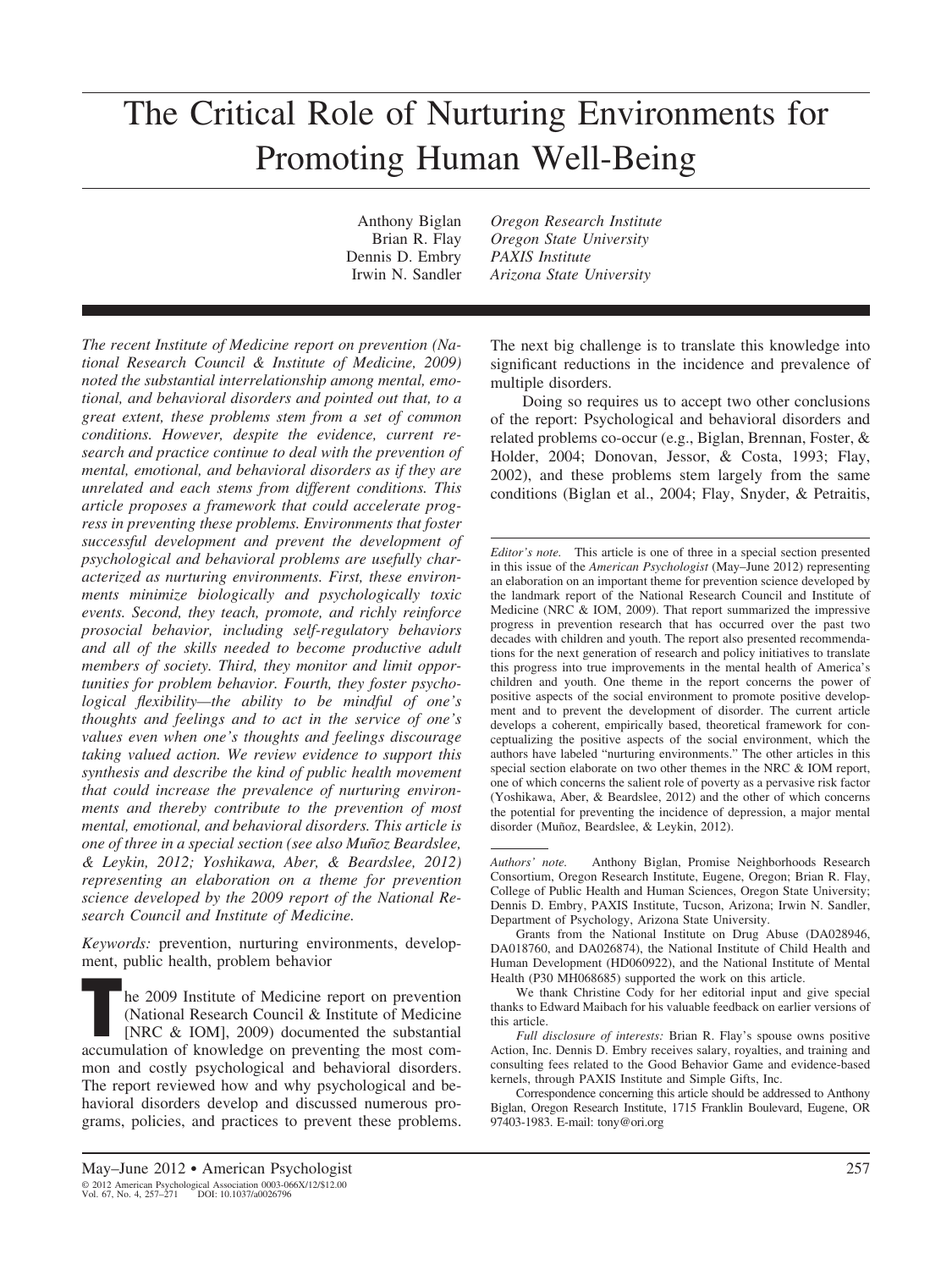# The Critical Role of Nurturing Environments for Promoting Human Well-Being

Dennis D. Embry *PAXIS Institute*

Anthony Biglan *Oregon Research Institute* Brian R. Flay *Oregon State University* Irwin N. Sandler *Arizona State University*

*The recent Institute of Medicine report on prevention (National Research Council & Institute of Medicine, 2009) noted the substantial interrelationship among mental, emotional, and behavioral disorders and pointed out that, to a great extent, these problems stem from a set of common conditions. However, despite the evidence, current research and practice continue to deal with the prevention of mental, emotional, and behavioral disorders as if they are unrelated and each stems from different conditions. This article proposes a framework that could accelerate progress in preventing these problems. Environments that foster successful development and prevent the development of psychological and behavioral problems are usefully characterized as nurturing environments. First, these environments minimize biologically and psychologically toxic events. Second, they teach, promote, and richly reinforce prosocial behavior, including self-regulatory behaviors and all of the skills needed to become productive adult members of society. Third, they monitor and limit opportunities for problem behavior. Fourth, they foster psychological flexibility—the ability to be mindful of one's thoughts and feelings and to act in the service of one's values even when one's thoughts and feelings discourage taking valued action. We review evidence to support this synthesis and describe the kind of public health movement that could increase the prevalence of nurturing environments and thereby contribute to the prevention of most mental, emotional, and behavioral disorders. This article is one of three in a special section (see also Mun˜oz Beardslee, & Leykin, 2012; Yoshikawa, Aber, & Beardslee, 2012) representing an elaboration on a theme for prevention science developed by the 2009 report of the National Research Council and Institute of Medicine.*

*Keywords:* prevention, nurturing environments, development, public health, problem behavior

he 2009 Institute of Medicine report on prevention (National Research Council & Institute of Medicine [NRC & IOM], 2009) documented the substantial accumulation of knowledge on preventing the most common and costly psychological and behavioral disorders. The report reviewed how and why psychological and behavioral disorders develop and discussed numerous programs, policies, and practices to prevent these problems.

The next big challenge is to translate this knowledge into significant reductions in the incidence and prevalence of multiple disorders.

Doing so requires us to accept two other conclusions of the report: Psychological and behavioral disorders and related problems co-occur (e.g., Biglan, Brennan, Foster, & Holder, 2004; Donovan, Jessor, & Costa, 1993; Flay, 2002), and these problems stem largely from the same conditions (Biglan et al., 2004; Flay, Snyder, & Petraitis,

*Editor's note.* This article is one of three in a special section presented in this issue of the *American Psychologist* (May–June 2012) representing an elaboration on an important theme for prevention science developed by the landmark report of the National Research Council and Institute of Medicine (NRC & IOM, 2009). That report summarized the impressive progress in prevention research that has occurred over the past two decades with children and youth. The report also presented recommendations for the next generation of research and policy initiatives to translate this progress into true improvements in the mental health of America's children and youth. One theme in the report concerns the power of positive aspects of the social environment to promote positive development and to prevent the development of disorder. The current article develops a coherent, empirically based, theoretical framework for conceptualizing the positive aspects of the social environment, which the authors have labeled "nurturing environments." The other articles in this special section elaborate on two other themes in the NRC & IOM report, one of which concerns the salient role of poverty as a pervasive risk factor (Yoshikawa, Aber, & Beardslee, 2012) and the other of which concerns the potential for preventing the incidence of depression, a major mental disorder (Muñoz, Beardslee, & Leykin, 2012).

*Authors' note.* Anthony Biglan, Promise Neighborhoods Research Consortium, Oregon Research Institute, Eugene, Oregon; Brian R. Flay, College of Public Health and Human Sciences, Oregon State University; Dennis D. Embry, PAXIS Institute, Tucson, Arizona; Irwin N. Sandler, Department of Psychology, Arizona State University.

Grants from the National Institute on Drug Abuse (DA028946, DA018760, and DA026874), the National Institute of Child Health and Human Development (HD060922), and the National Institute of Mental Health (P30 MH068685) supported the work on this article.

We thank Christine Cody for her editorial input and give special thanks to Edward Maibach for his valuable feedback on earlier versions of this article.

*Full disclosure of interests:* Brian R. Flay's spouse owns positive Action, Inc. Dennis D. Embry receives salary, royalties, and training and consulting fees related to the Good Behavior Game and evidence-based kernels, through PAXIS Institute and Simple Gifts, Inc.

Correspondence concerning this article should be addressed to Anthony Biglan, Oregon Research Institute, 1715 Franklin Boulevard, Eugene, OR 97403-1983. E-mail: tony@ori.org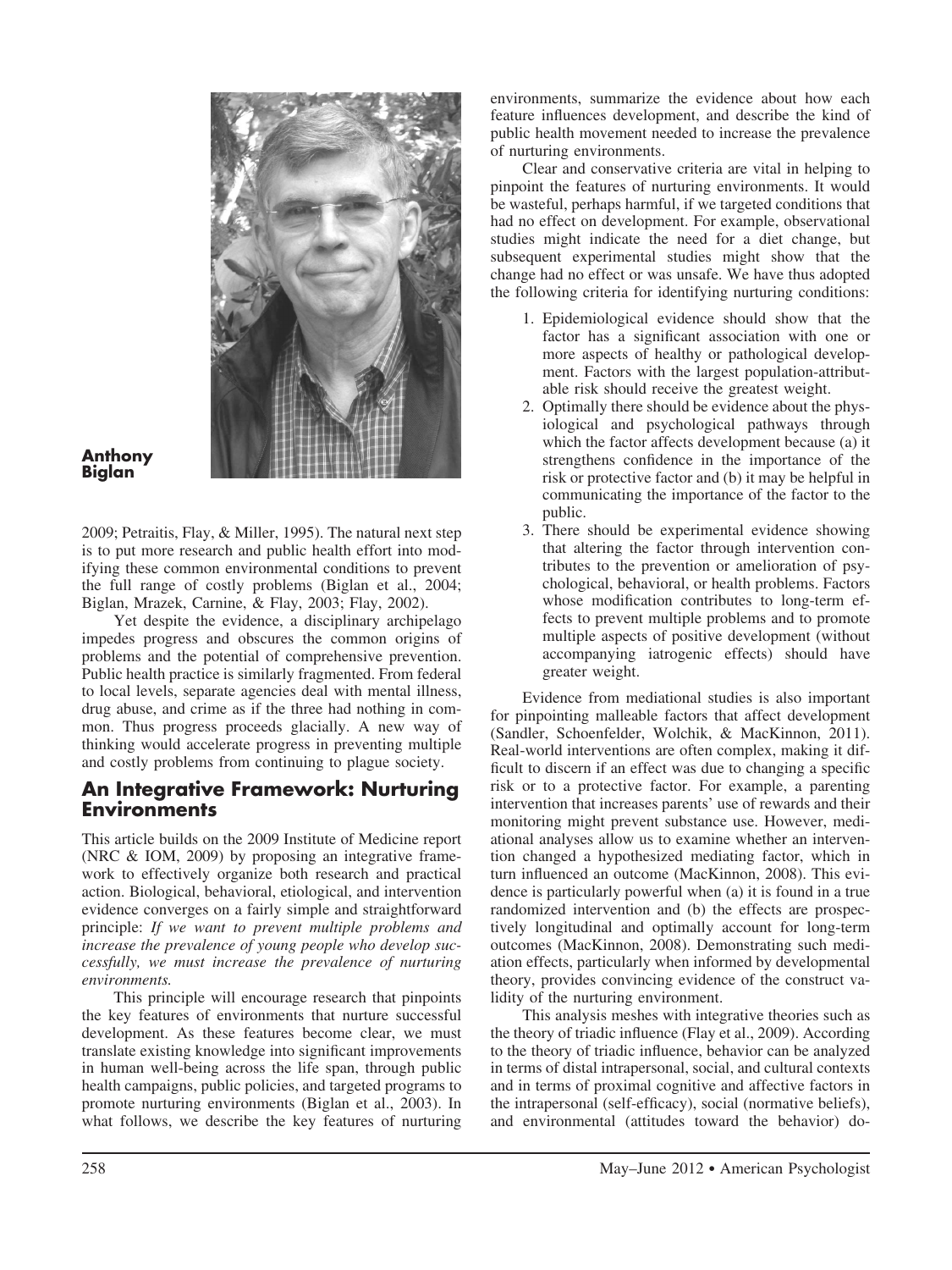

#### **Anthony Biglan**

2009; Petraitis, Flay, & Miller, 1995). The natural next step is to put more research and public health effort into modifying these common environmental conditions to prevent the full range of costly problems (Biglan et al., 2004; Biglan, Mrazek, Carnine, & Flay, 2003; Flay, 2002).

Yet despite the evidence, a disciplinary archipelago impedes progress and obscures the common origins of problems and the potential of comprehensive prevention. Public health practice is similarly fragmented. From federal to local levels, separate agencies deal with mental illness, drug abuse, and crime as if the three had nothing in common. Thus progress proceeds glacially. A new way of thinking would accelerate progress in preventing multiple and costly problems from continuing to plague society.

## **An Integrative Framework: Nurturing Environments**

This article builds on the 2009 Institute of Medicine report (NRC & IOM, 2009) by proposing an integrative framework to effectively organize both research and practical action. Biological, behavioral, etiological, and intervention evidence converges on a fairly simple and straightforward principle: *If we want to prevent multiple problems and increase the prevalence of young people who develop successfully, we must increase the prevalence of nurturing environments.*

This principle will encourage research that pinpoints the key features of environments that nurture successful development. As these features become clear, we must translate existing knowledge into significant improvements in human well-being across the life span, through public health campaigns, public policies, and targeted programs to promote nurturing environments (Biglan et al., 2003). In what follows, we describe the key features of nurturing environments, summarize the evidence about how each feature influences development, and describe the kind of public health movement needed to increase the prevalence of nurturing environments.

Clear and conservative criteria are vital in helping to pinpoint the features of nurturing environments. It would be wasteful, perhaps harmful, if we targeted conditions that had no effect on development. For example, observational studies might indicate the need for a diet change, but subsequent experimental studies might show that the change had no effect or was unsafe. We have thus adopted the following criteria for identifying nurturing conditions:

- 1. Epidemiological evidence should show that the factor has a significant association with one or more aspects of healthy or pathological development. Factors with the largest population-attributable risk should receive the greatest weight.
- 2. Optimally there should be evidence about the physiological and psychological pathways through which the factor affects development because (a) it strengthens confidence in the importance of the risk or protective factor and (b) it may be helpful in communicating the importance of the factor to the public.
- 3. There should be experimental evidence showing that altering the factor through intervention contributes to the prevention or amelioration of psychological, behavioral, or health problems. Factors whose modification contributes to long-term effects to prevent multiple problems and to promote multiple aspects of positive development (without accompanying iatrogenic effects) should have greater weight.

Evidence from mediational studies is also important for pinpointing malleable factors that affect development (Sandler, Schoenfelder, Wolchik, & MacKinnon, 2011). Real-world interventions are often complex, making it difficult to discern if an effect was due to changing a specific risk or to a protective factor. For example, a parenting intervention that increases parents' use of rewards and their monitoring might prevent substance use. However, mediational analyses allow us to examine whether an intervention changed a hypothesized mediating factor, which in turn influenced an outcome (MacKinnon, 2008). This evidence is particularly powerful when (a) it is found in a true randomized intervention and (b) the effects are prospectively longitudinal and optimally account for long-term outcomes (MacKinnon, 2008). Demonstrating such mediation effects, particularly when informed by developmental theory, provides convincing evidence of the construct validity of the nurturing environment.

This analysis meshes with integrative theories such as the theory of triadic influence (Flay et al., 2009). According to the theory of triadic influence, behavior can be analyzed in terms of distal intrapersonal, social, and cultural contexts and in terms of proximal cognitive and affective factors in the intrapersonal (self-efficacy), social (normative beliefs), and environmental (attitudes toward the behavior) do-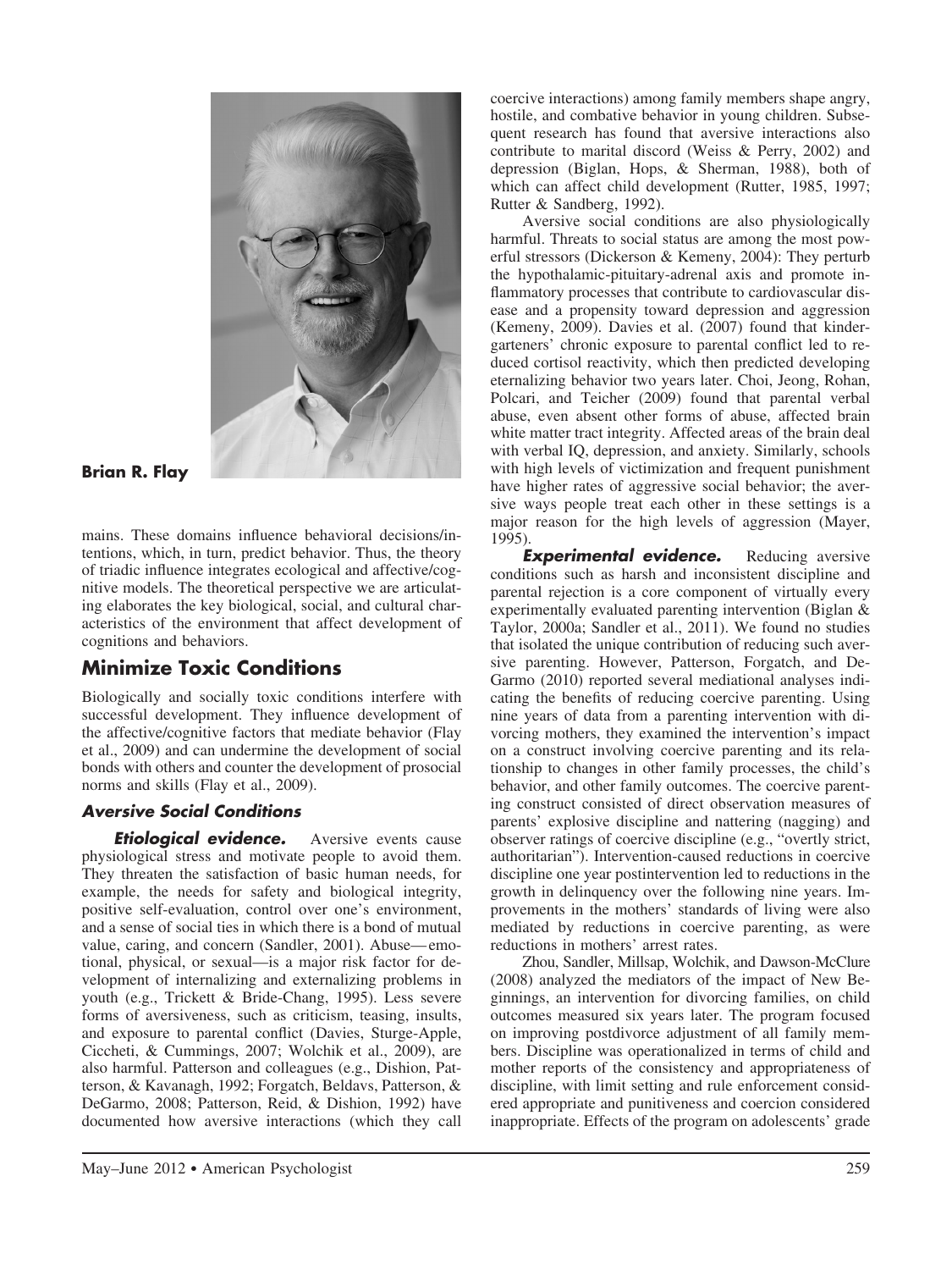

**Brian R. Flay**

mains. These domains influence behavioral decisions/intentions, which, in turn, predict behavior. Thus, the theory of triadic influence integrates ecological and affective/cognitive models. The theoretical perspective we are articulating elaborates the key biological, social, and cultural characteristics of the environment that affect development of cognitions and behaviors.

# **Minimize Toxic Conditions**

Biologically and socially toxic conditions interfere with successful development. They influence development of the affective/cognitive factors that mediate behavior (Flay et al., 2009) and can undermine the development of social bonds with others and counter the development of prosocial norms and skills (Flay et al., 2009).

## **Aversive Social Conditions**

**Etiological evidence.** Aversive events cause physiological stress and motivate people to avoid them. They threaten the satisfaction of basic human needs, for example, the needs for safety and biological integrity, positive self-evaluation, control over one's environment, and a sense of social ties in which there is a bond of mutual value, caring, and concern (Sandler, 2001). Abuse— emotional, physical, or sexual—is a major risk factor for development of internalizing and externalizing problems in youth (e.g., Trickett & Bride-Chang, 1995). Less severe forms of aversiveness, such as criticism, teasing, insults, and exposure to parental conflict (Davies, Sturge-Apple, Ciccheti, & Cummings, 2007; Wolchik et al., 2009), are also harmful. Patterson and colleagues (e.g., Dishion, Patterson, & Kavanagh, 1992; Forgatch, Beldavs, Patterson, & DeGarmo, 2008; Patterson, Reid, & Dishion, 1992) have documented how aversive interactions (which they call

coercive interactions) among family members shape angry, hostile, and combative behavior in young children. Subsequent research has found that aversive interactions also contribute to marital discord (Weiss & Perry, 2002) and depression (Biglan, Hops, & Sherman, 1988), both of which can affect child development (Rutter, 1985, 1997; Rutter & Sandberg, 1992).

Aversive social conditions are also physiologically harmful. Threats to social status are among the most powerful stressors (Dickerson & Kemeny, 2004): They perturb the hypothalamic-pituitary-adrenal axis and promote inflammatory processes that contribute to cardiovascular disease and a propensity toward depression and aggression (Kemeny, 2009). Davies et al. (2007) found that kindergarteners' chronic exposure to parental conflict led to reduced cortisol reactivity, which then predicted developing eternalizing behavior two years later. Choi, Jeong, Rohan, Polcari, and Teicher (2009) found that parental verbal abuse, even absent other forms of abuse, affected brain white matter tract integrity. Affected areas of the brain deal with verbal IQ, depression, and anxiety. Similarly, schools with high levels of victimization and frequent punishment have higher rates of aggressive social behavior; the aversive ways people treat each other in these settings is a major reason for the high levels of aggression (Mayer, 1995).

**Experimental evidence.** Reducing aversive conditions such as harsh and inconsistent discipline and parental rejection is a core component of virtually every experimentally evaluated parenting intervention (Biglan & Taylor, 2000a; Sandler et al., 2011). We found no studies that isolated the unique contribution of reducing such aversive parenting. However, Patterson, Forgatch, and De-Garmo (2010) reported several mediational analyses indicating the benefits of reducing coercive parenting. Using nine years of data from a parenting intervention with divorcing mothers, they examined the intervention's impact on a construct involving coercive parenting and its relationship to changes in other family processes, the child's behavior, and other family outcomes. The coercive parenting construct consisted of direct observation measures of parents' explosive discipline and nattering (nagging) and observer ratings of coercive discipline (e.g., "overtly strict, authoritarian"). Intervention-caused reductions in coercive discipline one year postintervention led to reductions in the growth in delinquency over the following nine years. Improvements in the mothers' standards of living were also mediated by reductions in coercive parenting, as were reductions in mothers' arrest rates.

Zhou, Sandler, Millsap, Wolchik, and Dawson-McClure (2008) analyzed the mediators of the impact of New Beginnings, an intervention for divorcing families, on child outcomes measured six years later. The program focused on improving postdivorce adjustment of all family members. Discipline was operationalized in terms of child and mother reports of the consistency and appropriateness of discipline, with limit setting and rule enforcement considered appropriate and punitiveness and coercion considered inappropriate. Effects of the program on adolescents' grade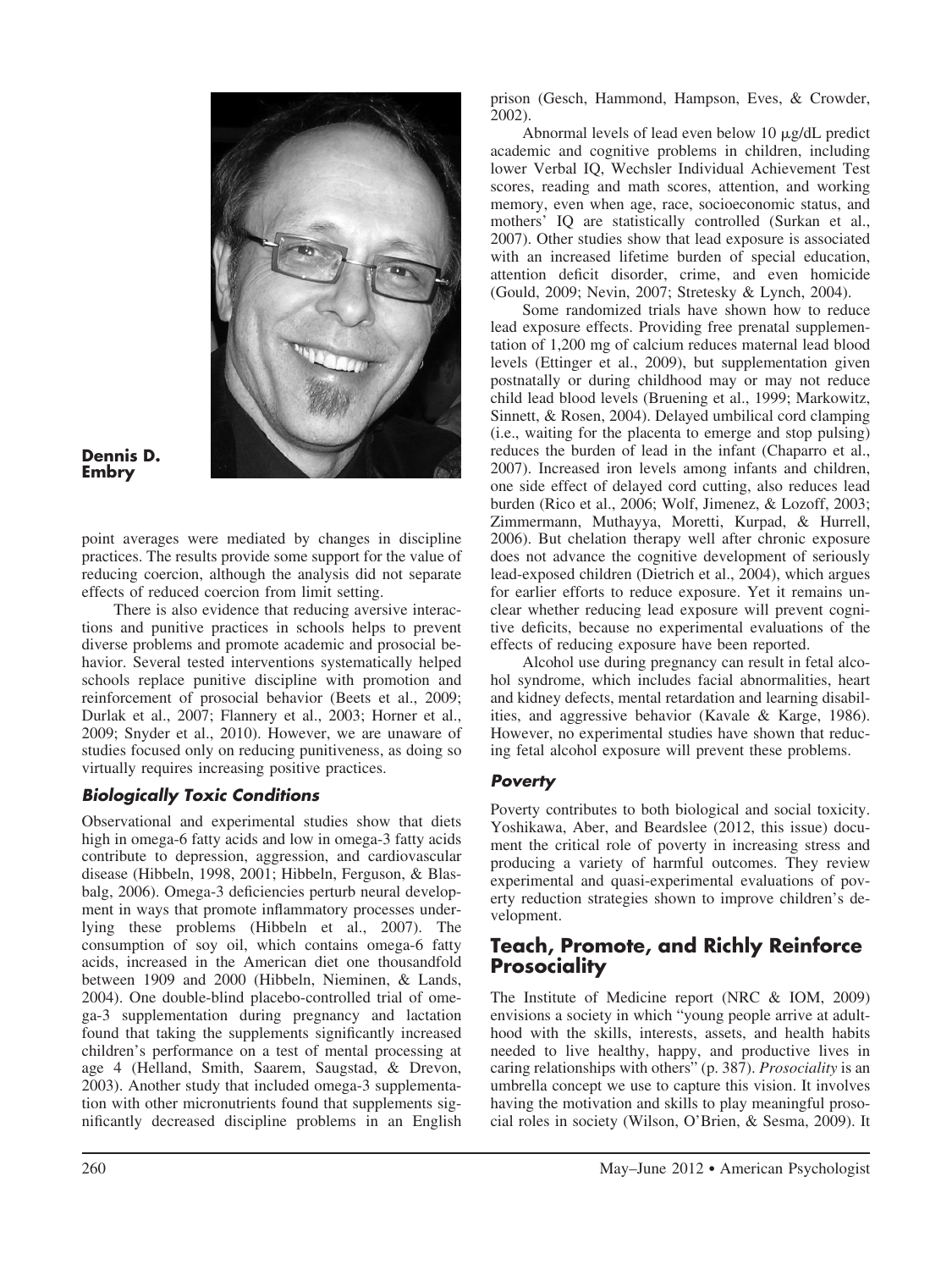

**Dennis D. Embry**

point averages were mediated by changes in discipline practices. The results provide some support for the value of reducing coercion, although the analysis did not separate effects of reduced coercion from limit setting.

There is also evidence that reducing aversive interactions and punitive practices in schools helps to prevent diverse problems and promote academic and prosocial behavior. Several tested interventions systematically helped schools replace punitive discipline with promotion and reinforcement of prosocial behavior (Beets et al., 2009; Durlak et al., 2007; Flannery et al., 2003; Horner et al., 2009; Snyder et al., 2010). However, we are unaware of studies focused only on reducing punitiveness, as doing so virtually requires increasing positive practices.

## **Biologically Toxic Conditions**

Observational and experimental studies show that diets high in omega-6 fatty acids and low in omega-3 fatty acids contribute to depression, aggression, and cardiovascular disease (Hibbeln, 1998, 2001; Hibbeln, Ferguson, & Blasbalg, 2006). Omega-3 deficiencies perturb neural development in ways that promote inflammatory processes underlying these problems (Hibbeln et al., 2007). The consumption of soy oil, which contains omega-6 fatty acids, increased in the American diet one thousandfold between 1909 and 2000 (Hibbeln, Nieminen, & Lands, 2004). One double-blind placebo-controlled trial of omega-3 supplementation during pregnancy and lactation found that taking the supplements significantly increased children's performance on a test of mental processing at age 4 (Helland, Smith, Saarem, Saugstad, & Drevon, 2003). Another study that included omega-3 supplementation with other micronutrients found that supplements significantly decreased discipline problems in an English prison (Gesch, Hammond, Hampson, Eves, & Crowder, 2002).

Abnormal levels of lead even below  $10 \mu g/dL$  predict academic and cognitive problems in children, including lower Verbal IQ, Wechsler Individual Achievement Test scores, reading and math scores, attention, and working memory, even when age, race, socioeconomic status, and mothers' IQ are statistically controlled (Surkan et al., 2007). Other studies show that lead exposure is associated with an increased lifetime burden of special education, attention deficit disorder, crime, and even homicide (Gould, 2009; Nevin, 2007; Stretesky & Lynch, 2004).

Some randomized trials have shown how to reduce lead exposure effects. Providing free prenatal supplementation of 1,200 mg of calcium reduces maternal lead blood levels (Ettinger et al., 2009), but supplementation given postnatally or during childhood may or may not reduce child lead blood levels (Bruening et al., 1999; Markowitz, Sinnett, & Rosen, 2004). Delayed umbilical cord clamping (i.e., waiting for the placenta to emerge and stop pulsing) reduces the burden of lead in the infant (Chaparro et al., 2007). Increased iron levels among infants and children, one side effect of delayed cord cutting, also reduces lead burden (Rico et al., 2006; Wolf, Jimenez, & Lozoff, 2003; Zimmermann, Muthayya, Moretti, Kurpad, & Hurrell, 2006). But chelation therapy well after chronic exposure does not advance the cognitive development of seriously lead-exposed children (Dietrich et al., 2004), which argues for earlier efforts to reduce exposure. Yet it remains unclear whether reducing lead exposure will prevent cognitive deficits, because no experimental evaluations of the effects of reducing exposure have been reported.

Alcohol use during pregnancy can result in fetal alcohol syndrome, which includes facial abnormalities, heart and kidney defects, mental retardation and learning disabilities, and aggressive behavior (Kavale & Karge, 1986). However, no experimental studies have shown that reducing fetal alcohol exposure will prevent these problems.

## **Poverty**

Poverty contributes to both biological and social toxicity. Yoshikawa, Aber, and Beardslee (2012, this issue) document the critical role of poverty in increasing stress and producing a variety of harmful outcomes. They review experimental and quasi-experimental evaluations of poverty reduction strategies shown to improve children's development.

# **Teach, Promote, and Richly Reinforce Prosociality**

The Institute of Medicine report (NRC & IOM, 2009) envisions a society in which "young people arrive at adulthood with the skills, interests, assets, and health habits needed to live healthy, happy, and productive lives in caring relationships with others" (p. 387). *Prosociality* is an umbrella concept we use to capture this vision. It involves having the motivation and skills to play meaningful prosocial roles in society (Wilson, O'Brien, & Sesma, 2009). It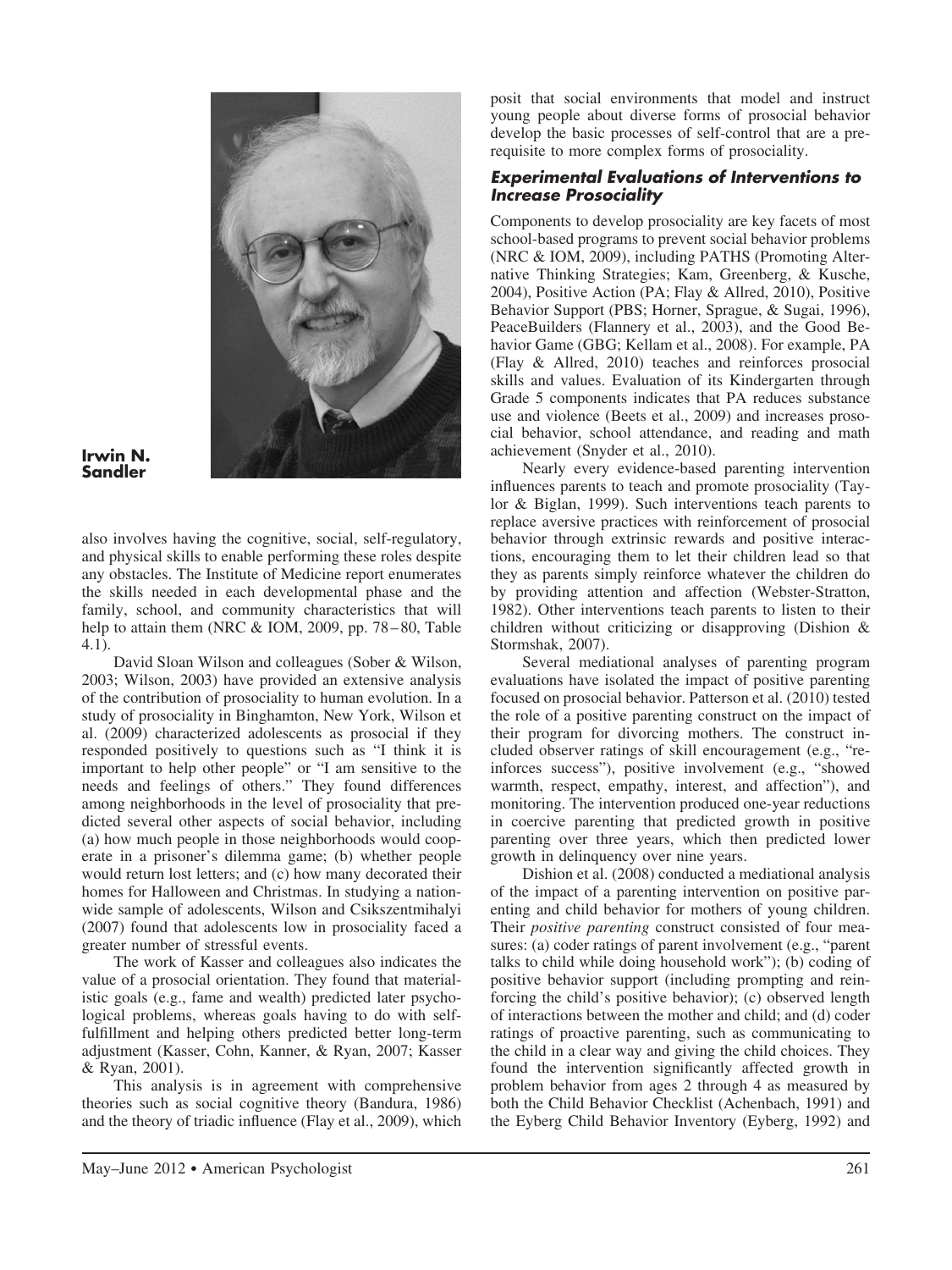

**Irwin N. Sandler**

also involves having the cognitive, social, self-regulatory, and physical skills to enable performing these roles despite any obstacles. The Institute of Medicine report enumerates the skills needed in each developmental phase and the family, school, and community characteristics that will help to attain them (NRC & IOM, 2009, pp. 78–80, Table 4.1).

David Sloan Wilson and colleagues (Sober & Wilson, 2003; Wilson, 2003) have provided an extensive analysis of the contribution of prosociality to human evolution. In a study of prosociality in Binghamton, New York, Wilson et al. (2009) characterized adolescents as prosocial if they responded positively to questions such as "I think it is important to help other people" or "I am sensitive to the needs and feelings of others." They found differences among neighborhoods in the level of prosociality that predicted several other aspects of social behavior, including (a) how much people in those neighborhoods would cooperate in a prisoner's dilemma game; (b) whether people would return lost letters; and (c) how many decorated their homes for Halloween and Christmas. In studying a nationwide sample of adolescents, Wilson and Csikszentmihalyi (2007) found that adolescents low in prosociality faced a greater number of stressful events.

The work of Kasser and colleagues also indicates the value of a prosocial orientation. They found that materialistic goals (e.g., fame and wealth) predicted later psychological problems, whereas goals having to do with selffulfillment and helping others predicted better long-term adjustment (Kasser, Cohn, Kanner, & Ryan, 2007; Kasser & Ryan, 2001).

This analysis is in agreement with comprehensive theories such as social cognitive theory (Bandura, 1986) and the theory of triadic influence (Flay et al., 2009), which posit that social environments that model and instruct young people about diverse forms of prosocial behavior develop the basic processes of self-control that are a prerequisite to more complex forms of prosociality.

#### **Experimental Evaluations of Interventions to Increase Prosociality**

Components to develop prosociality are key facets of most school-based programs to prevent social behavior problems (NRC & IOM, 2009), including PATHS (Promoting Alternative Thinking Strategies; Kam, Greenberg, & Kusche, 2004), Positive Action (PA; Flay & Allred, 2010), Positive Behavior Support (PBS; Horner, Sprague, & Sugai, 1996), PeaceBuilders (Flannery et al., 2003), and the Good Behavior Game (GBG; Kellam et al., 2008). For example, PA (Flay & Allred, 2010) teaches and reinforces prosocial skills and values. Evaluation of its Kindergarten through Grade 5 components indicates that PA reduces substance use and violence (Beets et al., 2009) and increases prosocial behavior, school attendance, and reading and math achievement (Snyder et al., 2010).

Nearly every evidence-based parenting intervention influences parents to teach and promote prosociality (Taylor & Biglan, 1999). Such interventions teach parents to replace aversive practices with reinforcement of prosocial behavior through extrinsic rewards and positive interactions, encouraging them to let their children lead so that they as parents simply reinforce whatever the children do by providing attention and affection (Webster-Stratton, 1982). Other interventions teach parents to listen to their children without criticizing or disapproving (Dishion & Stormshak, 2007).

Several mediational analyses of parenting program evaluations have isolated the impact of positive parenting focused on prosocial behavior. Patterson et al. (2010) tested the role of a positive parenting construct on the impact of their program for divorcing mothers. The construct included observer ratings of skill encouragement (e.g., "reinforces success"), positive involvement (e.g., "showed warmth, respect, empathy, interest, and affection"), and monitoring. The intervention produced one-year reductions in coercive parenting that predicted growth in positive parenting over three years, which then predicted lower growth in delinquency over nine years.

Dishion et al. (2008) conducted a mediational analysis of the impact of a parenting intervention on positive parenting and child behavior for mothers of young children. Their *positive parenting* construct consisted of four measures: (a) coder ratings of parent involvement (e.g., "parent talks to child while doing household work"); (b) coding of positive behavior support (including prompting and reinforcing the child's positive behavior); (c) observed length of interactions between the mother and child; and (d) coder ratings of proactive parenting, such as communicating to the child in a clear way and giving the child choices. They found the intervention significantly affected growth in problem behavior from ages 2 through 4 as measured by both the Child Behavior Checklist (Achenbach, 1991) and the Eyberg Child Behavior Inventory (Eyberg, 1992) and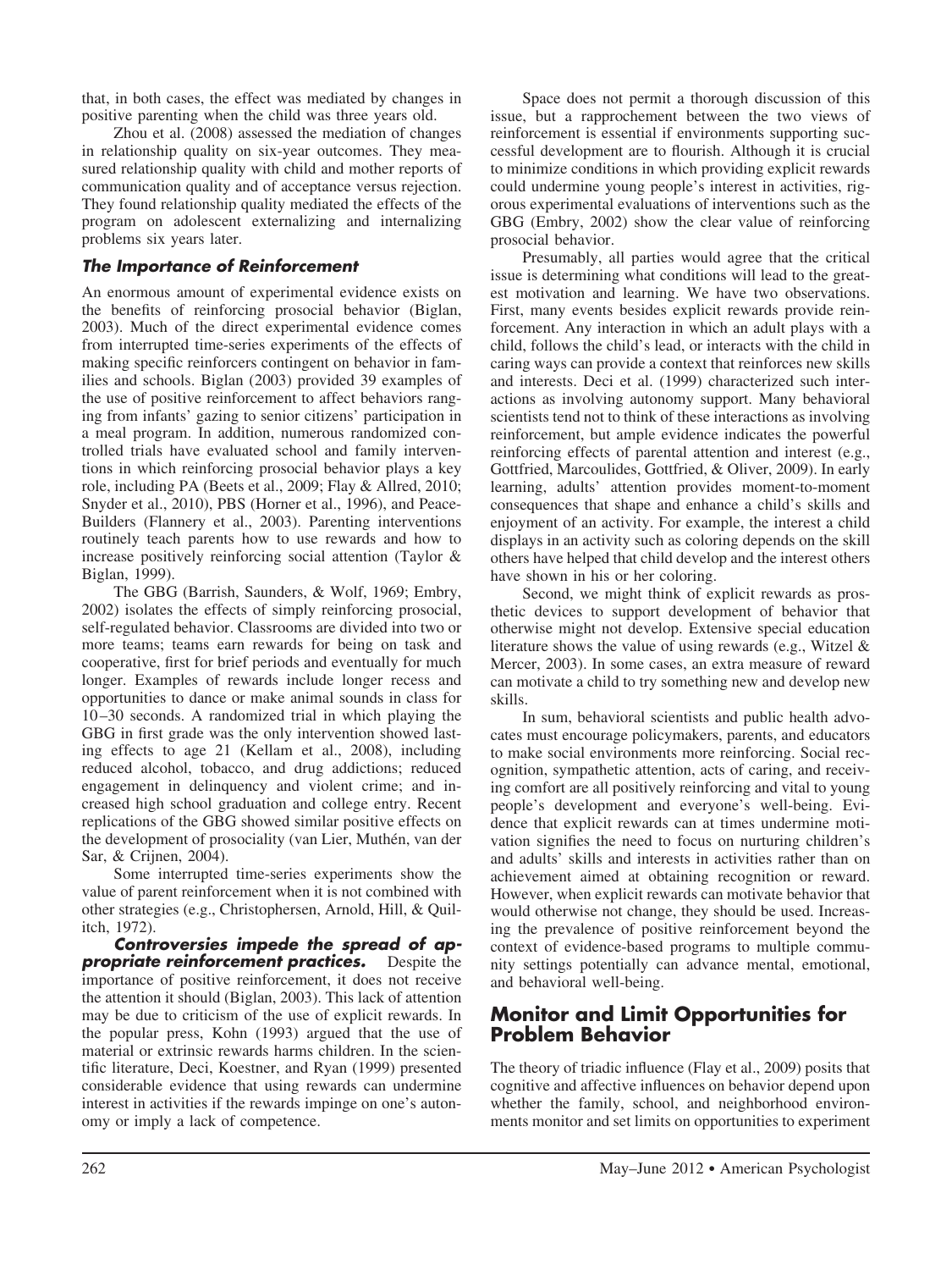that, in both cases, the effect was mediated by changes in positive parenting when the child was three years old.

Zhou et al. (2008) assessed the mediation of changes in relationship quality on six-year outcomes. They measured relationship quality with child and mother reports of communication quality and of acceptance versus rejection. They found relationship quality mediated the effects of the program on adolescent externalizing and internalizing problems six years later.

#### **The Importance of Reinforcement**

An enormous amount of experimental evidence exists on the benefits of reinforcing prosocial behavior (Biglan, 2003). Much of the direct experimental evidence comes from interrupted time-series experiments of the effects of making specific reinforcers contingent on behavior in families and schools. Biglan (2003) provided 39 examples of the use of positive reinforcement to affect behaviors ranging from infants' gazing to senior citizens' participation in a meal program. In addition, numerous randomized controlled trials have evaluated school and family interventions in which reinforcing prosocial behavior plays a key role, including PA (Beets et al., 2009; Flay & Allred, 2010; Snyder et al., 2010), PBS (Horner et al., 1996), and Peace-Builders (Flannery et al., 2003). Parenting interventions routinely teach parents how to use rewards and how to increase positively reinforcing social attention (Taylor & Biglan, 1999).

The GBG (Barrish, Saunders, & Wolf, 1969; Embry, 2002) isolates the effects of simply reinforcing prosocial, self-regulated behavior. Classrooms are divided into two or more teams; teams earn rewards for being on task and cooperative, first for brief periods and eventually for much longer. Examples of rewards include longer recess and opportunities to dance or make animal sounds in class for 10 –30 seconds. A randomized trial in which playing the GBG in first grade was the only intervention showed lasting effects to age 21 (Kellam et al., 2008), including reduced alcohol, tobacco, and drug addictions; reduced engagement in delinquency and violent crime; and increased high school graduation and college entry. Recent replications of the GBG showed similar positive effects on the development of prosociality (van Lier, Muthén, van der Sar, & Crijnen, 2004).

Some interrupted time-series experiments show the value of parent reinforcement when it is not combined with other strategies (e.g., Christophersen, Arnold, Hill, & Quilitch, 1972).

**Controversies impede the spread of appropriate reinforcement practices.** Despite the importance of positive reinforcement, it does not receive the attention it should (Biglan, 2003). This lack of attention may be due to criticism of the use of explicit rewards. In the popular press, Kohn (1993) argued that the use of material or extrinsic rewards harms children. In the scientific literature, Deci, Koestner, and Ryan (1999) presented considerable evidence that using rewards can undermine interest in activities if the rewards impinge on one's autonomy or imply a lack of competence.

Space does not permit a thorough discussion of this issue, but a rapprochement between the two views of reinforcement is essential if environments supporting successful development are to flourish. Although it is crucial to minimize conditions in which providing explicit rewards could undermine young people's interest in activities, rigorous experimental evaluations of interventions such as the GBG (Embry, 2002) show the clear value of reinforcing prosocial behavior.

Presumably, all parties would agree that the critical issue is determining what conditions will lead to the greatest motivation and learning. We have two observations. First, many events besides explicit rewards provide reinforcement. Any interaction in which an adult plays with a child, follows the child's lead, or interacts with the child in caring ways can provide a context that reinforces new skills and interests. Deci et al. (1999) characterized such interactions as involving autonomy support. Many behavioral scientists tend not to think of these interactions as involving reinforcement, but ample evidence indicates the powerful reinforcing effects of parental attention and interest (e.g., Gottfried, Marcoulides, Gottfried, & Oliver, 2009). In early learning, adults' attention provides moment-to-moment consequences that shape and enhance a child's skills and enjoyment of an activity. For example, the interest a child displays in an activity such as coloring depends on the skill others have helped that child develop and the interest others have shown in his or her coloring.

Second, we might think of explicit rewards as prosthetic devices to support development of behavior that otherwise might not develop. Extensive special education literature shows the value of using rewards (e.g., Witzel & Mercer, 2003). In some cases, an extra measure of reward can motivate a child to try something new and develop new skills.

In sum, behavioral scientists and public health advocates must encourage policymakers, parents, and educators to make social environments more reinforcing. Social recognition, sympathetic attention, acts of caring, and receiving comfort are all positively reinforcing and vital to young people's development and everyone's well-being. Evidence that explicit rewards can at times undermine motivation signifies the need to focus on nurturing children's and adults' skills and interests in activities rather than on achievement aimed at obtaining recognition or reward. However, when explicit rewards can motivate behavior that would otherwise not change, they should be used. Increasing the prevalence of positive reinforcement beyond the context of evidence-based programs to multiple community settings potentially can advance mental, emotional, and behavioral well-being.

# **Monitor and Limit Opportunities for Problem Behavior**

The theory of triadic influence (Flay et al., 2009) posits that cognitive and affective influences on behavior depend upon whether the family, school, and neighborhood environments monitor and set limits on opportunities to experiment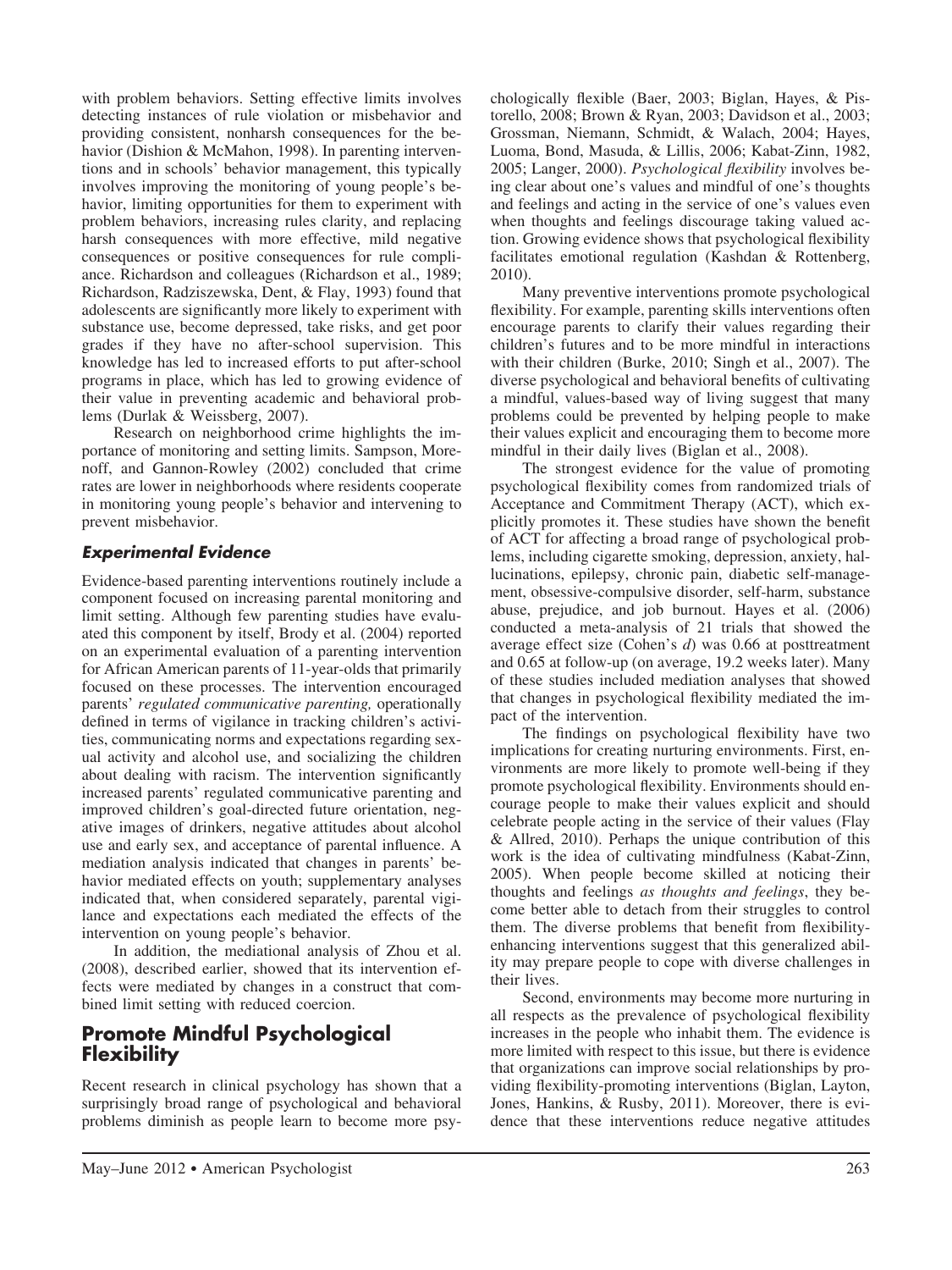with problem behaviors. Setting effective limits involves detecting instances of rule violation or misbehavior and providing consistent, nonharsh consequences for the behavior (Dishion & McMahon, 1998). In parenting interventions and in schools' behavior management, this typically involves improving the monitoring of young people's behavior, limiting opportunities for them to experiment with problem behaviors, increasing rules clarity, and replacing harsh consequences with more effective, mild negative consequences or positive consequences for rule compliance. Richardson and colleagues (Richardson et al., 1989; Richardson, Radziszewska, Dent, & Flay, 1993) found that adolescents are significantly more likely to experiment with substance use, become depressed, take risks, and get poor grades if they have no after-school supervision. This knowledge has led to increased efforts to put after-school programs in place, which has led to growing evidence of their value in preventing academic and behavioral problems (Durlak & Weissberg, 2007).

Research on neighborhood crime highlights the importance of monitoring and setting limits. Sampson, Morenoff, and Gannon-Rowley (2002) concluded that crime rates are lower in neighborhoods where residents cooperate in monitoring young people's behavior and intervening to prevent misbehavior.

## **Experimental Evidence**

Evidence-based parenting interventions routinely include a component focused on increasing parental monitoring and limit setting. Although few parenting studies have evaluated this component by itself, Brody et al. (2004) reported on an experimental evaluation of a parenting intervention for African American parents of 11-year-olds that primarily focused on these processes. The intervention encouraged parents' *regulated communicative parenting,* operationally defined in terms of vigilance in tracking children's activities, communicating norms and expectations regarding sexual activity and alcohol use, and socializing the children about dealing with racism. The intervention significantly increased parents' regulated communicative parenting and improved children's goal-directed future orientation, negative images of drinkers, negative attitudes about alcohol use and early sex, and acceptance of parental influence. A mediation analysis indicated that changes in parents' behavior mediated effects on youth; supplementary analyses indicated that, when considered separately, parental vigilance and expectations each mediated the effects of the intervention on young people's behavior.

In addition, the mediational analysis of Zhou et al. (2008), described earlier, showed that its intervention effects were mediated by changes in a construct that combined limit setting with reduced coercion.

# **Promote Mindful Psychological Flexibility**

Recent research in clinical psychology has shown that a surprisingly broad range of psychological and behavioral problems diminish as people learn to become more psychologically flexible (Baer, 2003; Biglan, Hayes, & Pistorello, 2008; Brown & Ryan, 2003; Davidson et al., 2003; Grossman, Niemann, Schmidt, & Walach, 2004; Hayes, Luoma, Bond, Masuda, & Lillis, 2006; Kabat-Zinn, 1982, 2005; Langer, 2000). *Psychological flexibility* involves being clear about one's values and mindful of one's thoughts and feelings and acting in the service of one's values even when thoughts and feelings discourage taking valued action. Growing evidence shows that psychological flexibility facilitates emotional regulation (Kashdan & Rottenberg, 2010).

Many preventive interventions promote psychological flexibility. For example, parenting skills interventions often encourage parents to clarify their values regarding their children's futures and to be more mindful in interactions with their children (Burke, 2010; Singh et al., 2007). The diverse psychological and behavioral benefits of cultivating a mindful, values-based way of living suggest that many problems could be prevented by helping people to make their values explicit and encouraging them to become more mindful in their daily lives (Biglan et al., 2008).

The strongest evidence for the value of promoting psychological flexibility comes from randomized trials of Acceptance and Commitment Therapy (ACT), which explicitly promotes it. These studies have shown the benefit of ACT for affecting a broad range of psychological problems, including cigarette smoking, depression, anxiety, hallucinations, epilepsy, chronic pain, diabetic self-management, obsessive-compulsive disorder, self-harm, substance abuse, prejudice, and job burnout. Hayes et al. (2006) conducted a meta-analysis of 21 trials that showed the average effect size (Cohen's *d*) was 0.66 at posttreatment and 0.65 at follow-up (on average, 19.2 weeks later). Many of these studies included mediation analyses that showed that changes in psychological flexibility mediated the impact of the intervention.

The findings on psychological flexibility have two implications for creating nurturing environments. First, environments are more likely to promote well-being if they promote psychological flexibility. Environments should encourage people to make their values explicit and should celebrate people acting in the service of their values (Flay & Allred, 2010). Perhaps the unique contribution of this work is the idea of cultivating mindfulness (Kabat-Zinn, 2005). When people become skilled at noticing their thoughts and feelings *as thoughts and feelings*, they become better able to detach from their struggles to control them. The diverse problems that benefit from flexibilityenhancing interventions suggest that this generalized ability may prepare people to cope with diverse challenges in their lives.

Second, environments may become more nurturing in all respects as the prevalence of psychological flexibility increases in the people who inhabit them. The evidence is more limited with respect to this issue, but there is evidence that organizations can improve social relationships by providing flexibility-promoting interventions (Biglan, Layton, Jones, Hankins, & Rusby, 2011). Moreover, there is evidence that these interventions reduce negative attitudes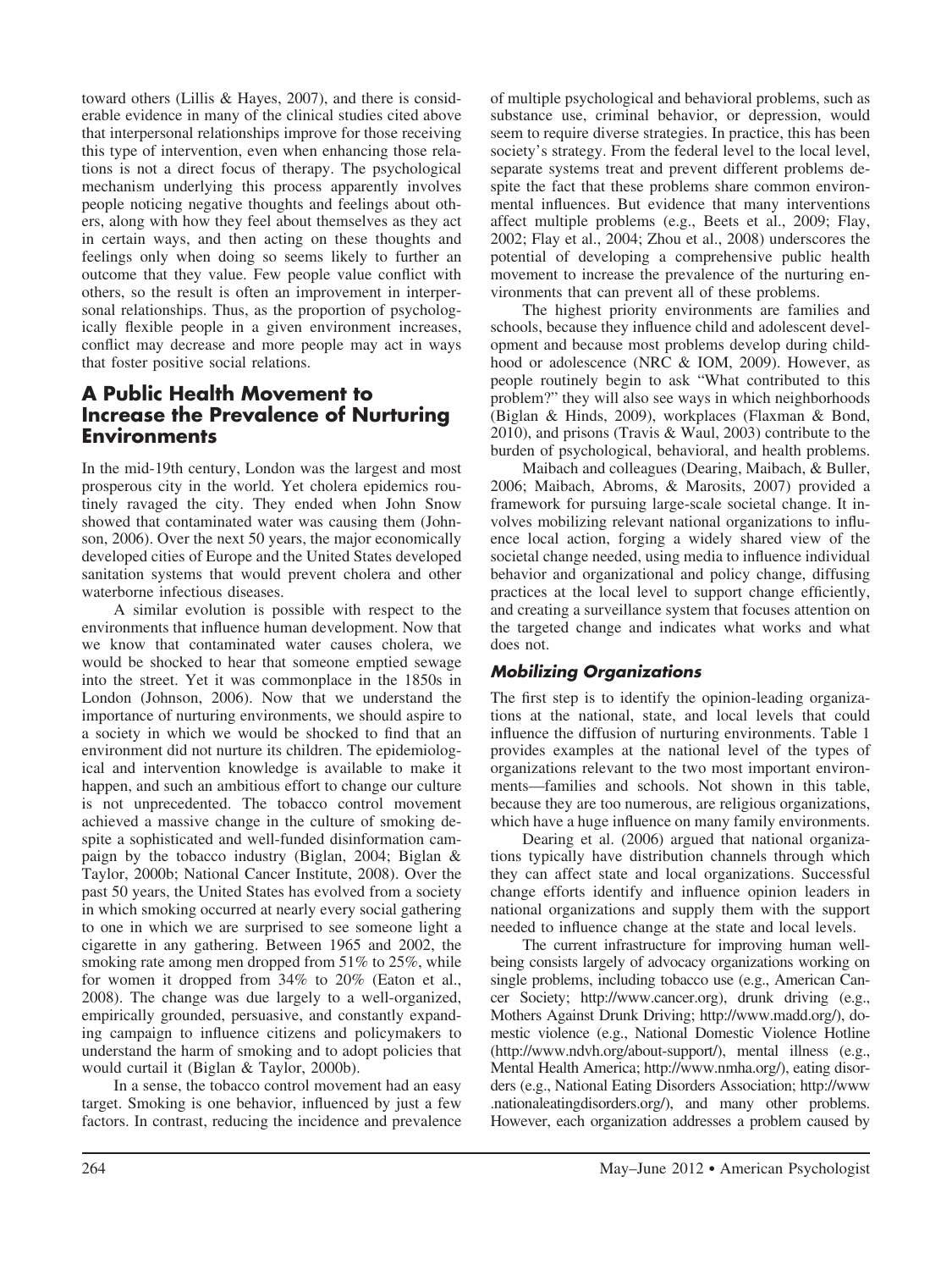toward others (Lillis & Hayes, 2007), and there is considerable evidence in many of the clinical studies cited above that interpersonal relationships improve for those receiving this type of intervention, even when enhancing those relations is not a direct focus of therapy. The psychological mechanism underlying this process apparently involves people noticing negative thoughts and feelings about others, along with how they feel about themselves as they act in certain ways, and then acting on these thoughts and feelings only when doing so seems likely to further an outcome that they value. Few people value conflict with others, so the result is often an improvement in interpersonal relationships. Thus, as the proportion of psychologically flexible people in a given environment increases, conflict may decrease and more people may act in ways that foster positive social relations.

# **A Public Health Movement to Increase the Prevalence of Nurturing Environments**

In the mid-19th century, London was the largest and most prosperous city in the world. Yet cholera epidemics routinely ravaged the city. They ended when John Snow showed that contaminated water was causing them (Johnson, 2006). Over the next 50 years, the major economically developed cities of Europe and the United States developed sanitation systems that would prevent cholera and other waterborne infectious diseases.

A similar evolution is possible with respect to the environments that influence human development. Now that we know that contaminated water causes cholera, we would be shocked to hear that someone emptied sewage into the street. Yet it was commonplace in the 1850s in London (Johnson, 2006). Now that we understand the importance of nurturing environments, we should aspire to a society in which we would be shocked to find that an environment did not nurture its children. The epidemiological and intervention knowledge is available to make it happen, and such an ambitious effort to change our culture is not unprecedented. The tobacco control movement achieved a massive change in the culture of smoking despite a sophisticated and well-funded disinformation campaign by the tobacco industry (Biglan, 2004; Biglan & Taylor, 2000b; National Cancer Institute, 2008). Over the past 50 years, the United States has evolved from a society in which smoking occurred at nearly every social gathering to one in which we are surprised to see someone light a cigarette in any gathering. Between 1965 and 2002, the smoking rate among men dropped from 51% to 25%, while for women it dropped from 34% to 20% (Eaton et al., 2008). The change was due largely to a well-organized, empirically grounded, persuasive, and constantly expanding campaign to influence citizens and policymakers to understand the harm of smoking and to adopt policies that would curtail it (Biglan & Taylor, 2000b).

In a sense, the tobacco control movement had an easy target. Smoking is one behavior, influenced by just a few factors. In contrast, reducing the incidence and prevalence of multiple psychological and behavioral problems, such as substance use, criminal behavior, or depression, would seem to require diverse strategies. In practice, this has been society's strategy. From the federal level to the local level, separate systems treat and prevent different problems despite the fact that these problems share common environmental influences. But evidence that many interventions affect multiple problems (e.g., Beets et al., 2009; Flay, 2002; Flay et al., 2004; Zhou et al., 2008) underscores the potential of developing a comprehensive public health movement to increase the prevalence of the nurturing environments that can prevent all of these problems.

The highest priority environments are families and schools, because they influence child and adolescent development and because most problems develop during childhood or adolescence (NRC & IOM, 2009). However, as people routinely begin to ask "What contributed to this problem?" they will also see ways in which neighborhoods (Biglan & Hinds, 2009), workplaces (Flaxman & Bond, 2010), and prisons (Travis & Waul, 2003) contribute to the burden of psychological, behavioral, and health problems.

Maibach and colleagues (Dearing, Maibach, & Buller, 2006; Maibach, Abroms, & Marosits, 2007) provided a framework for pursuing large-scale societal change. It involves mobilizing relevant national organizations to influence local action, forging a widely shared view of the societal change needed, using media to influence individual behavior and organizational and policy change, diffusing practices at the local level to support change efficiently, and creating a surveillance system that focuses attention on the targeted change and indicates what works and what does not.

## **Mobilizing Organizations**

The first step is to identify the opinion-leading organizations at the national, state, and local levels that could influence the diffusion of nurturing environments. Table 1 provides examples at the national level of the types of organizations relevant to the two most important environments—families and schools. Not shown in this table, because they are too numerous, are religious organizations, which have a huge influence on many family environments.

Dearing et al. (2006) argued that national organizations typically have distribution channels through which they can affect state and local organizations. Successful change efforts identify and influence opinion leaders in national organizations and supply them with the support needed to influence change at the state and local levels.

The current infrastructure for improving human wellbeing consists largely of advocacy organizations working on single problems, including tobacco use (e.g., American Cancer Society; http://www.cancer.org), drunk driving (e.g., Mothers Against Drunk Driving; http://www.madd.org/), domestic violence (e.g., National Domestic Violence Hotline (http://www.ndvh.org/about-support/), mental illness (e.g., Mental Health America; http://www.nmha.org/), eating disorders (e.g., National Eating Disorders Association; http://www .nationaleatingdisorders.org/), and many other problems. However, each organization addresses a problem caused by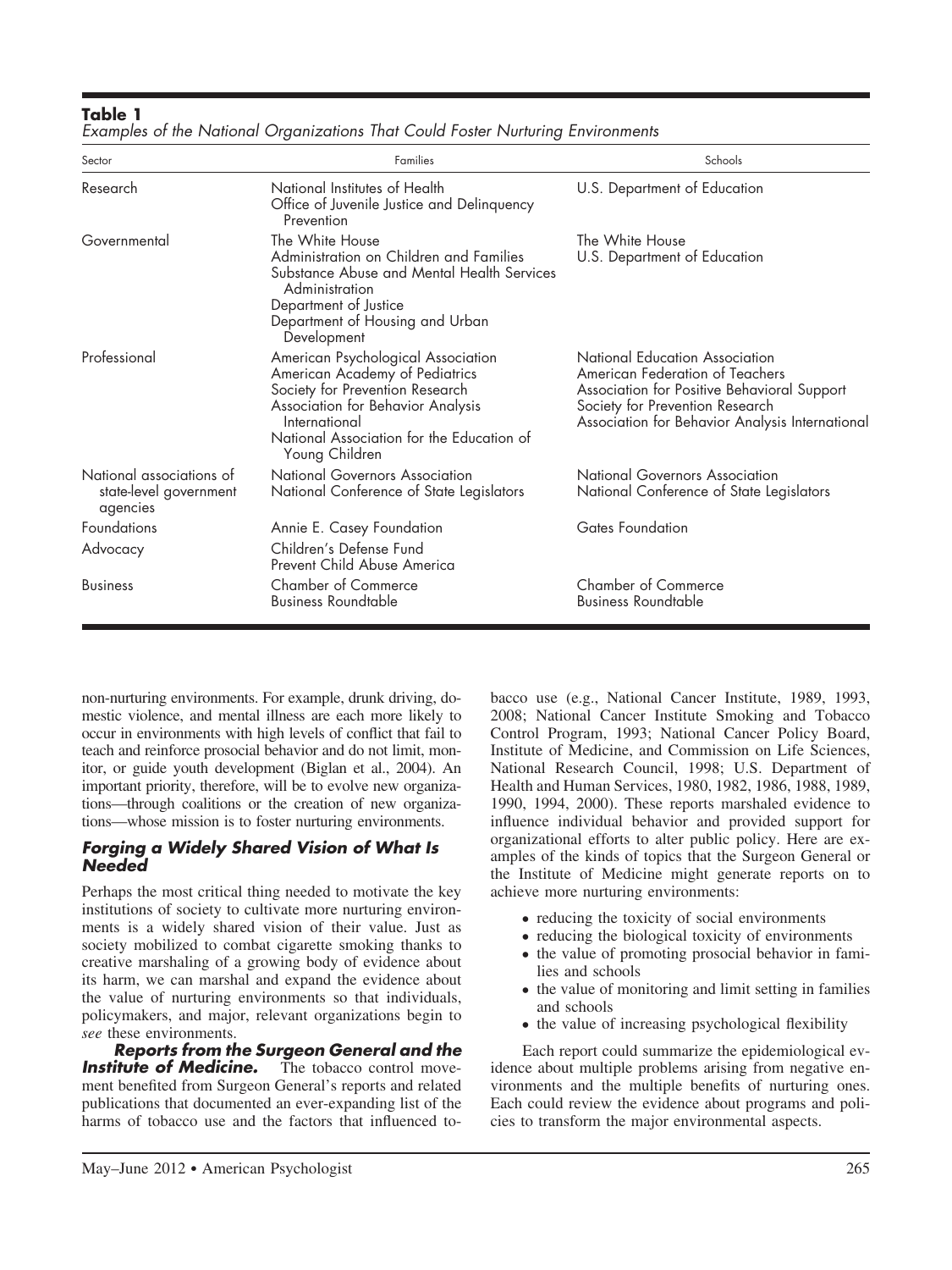#### **Table 1**

| Sector                                                         | <b>Families</b>                                                                                                                                                                                                              | Schools                                                                                                                                                                                                |
|----------------------------------------------------------------|------------------------------------------------------------------------------------------------------------------------------------------------------------------------------------------------------------------------------|--------------------------------------------------------------------------------------------------------------------------------------------------------------------------------------------------------|
| Research                                                       | National Institutes of Health<br>Office of Juvenile Justice and Delinquency<br>Prevention                                                                                                                                    | U.S. Department of Education                                                                                                                                                                           |
| Governmental                                                   | The White House<br>Administration on Children and Families<br>Substance Abuse and Mental Health Services<br>Administration<br>Department of Justice<br>Department of Housing and Urban<br>Development                        | The White House<br>U.S. Department of Education                                                                                                                                                        |
| Professional                                                   | American Psychological Association<br>American Academy of Pediatrics<br>Society for Prevention Research<br>Association for Behavior Analysis<br>International<br>National Association for the Education of<br>Young Children | National Education Association<br>American Federation of Teachers<br>Association for Positive Behavioral Support<br>Society for Prevention Research<br>Association for Behavior Analysis International |
| National associations of<br>state-level government<br>agencies | National Governors Association<br>National Conference of State Legislators                                                                                                                                                   | National Governors Association<br>National Conference of State Legislators                                                                                                                             |
| <b>Foundations</b>                                             | Annie E. Casey Foundation                                                                                                                                                                                                    | Gates Foundation                                                                                                                                                                                       |
| Advocacy                                                       | Children's Defense Fund<br>Prevent Child Abuse America                                                                                                                                                                       |                                                                                                                                                                                                        |
| <b>Business</b>                                                | <b>Chamber of Commerce</b><br>Business Roundtable                                                                                                                                                                            | <b>Chamber of Commerce</b><br><b>Business Roundtable</b>                                                                                                                                               |

Examples of the National Organizations That Could Foster Nurturing Environments

non-nurturing environments. For example, drunk driving, domestic violence, and mental illness are each more likely to occur in environments with high levels of conflict that fail to teach and reinforce prosocial behavior and do not limit, monitor, or guide youth development (Biglan et al., 2004). An important priority, therefore, will be to evolve new organizations—through coalitions or the creation of new organizations—whose mission is to foster nurturing environments.

#### **Forging a Widely Shared Vision of What Is Needed**

Perhaps the most critical thing needed to motivate the key institutions of society to cultivate more nurturing environments is a widely shared vision of their value. Just as society mobilized to combat cigarette smoking thanks to creative marshaling of a growing body of evidence about its harm, we can marshal and expand the evidence about the value of nurturing environments so that individuals, policymakers, and major, relevant organizations begin to *see* these environments.

**Reports from the Surgeon General and the Institute of Medicine.** The tobacco control movement benefited from Surgeon General's reports and related publications that documented an ever-expanding list of the harms of tobacco use and the factors that influenced tobacco use (e.g., National Cancer Institute, 1989, 1993, 2008; National Cancer Institute Smoking and Tobacco Control Program, 1993; National Cancer Policy Board, Institute of Medicine, and Commission on Life Sciences, National Research Council, 1998; U.S. Department of Health and Human Services, 1980, 1982, 1986, 1988, 1989, 1990, 1994, 2000). These reports marshaled evidence to influence individual behavior and provided support for organizational efforts to alter public policy. Here are examples of the kinds of topics that the Surgeon General or the Institute of Medicine might generate reports on to achieve more nurturing environments:

- reducing the toxicity of social environments
- reducing the biological toxicity of environments
- the value of promoting prosocial behavior in families and schools
- the value of monitoring and limit setting in families and schools
- the value of increasing psychological flexibility

Each report could summarize the epidemiological evidence about multiple problems arising from negative environments and the multiple benefits of nurturing ones. Each could review the evidence about programs and policies to transform the major environmental aspects.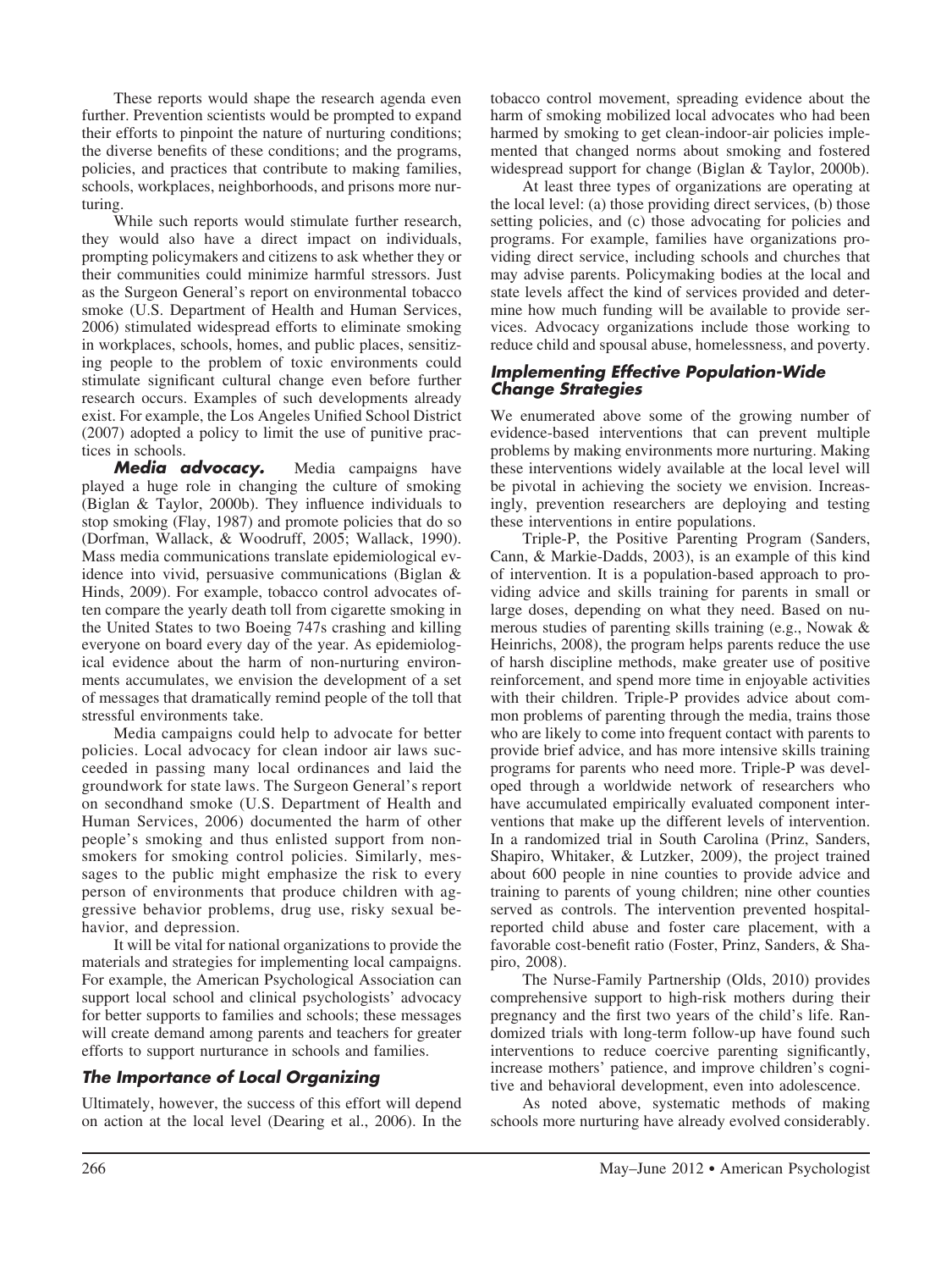These reports would shape the research agenda even further. Prevention scientists would be prompted to expand their efforts to pinpoint the nature of nurturing conditions; the diverse benefits of these conditions; and the programs, policies, and practices that contribute to making families, schools, workplaces, neighborhoods, and prisons more nurturing.

While such reports would stimulate further research, they would also have a direct impact on individuals, prompting policymakers and citizens to ask whether they or their communities could minimize harmful stressors. Just as the Surgeon General's report on environmental tobacco smoke (U.S. Department of Health and Human Services, 2006) stimulated widespread efforts to eliminate smoking in workplaces, schools, homes, and public places, sensitizing people to the problem of toxic environments could stimulate significant cultural change even before further research occurs. Examples of such developments already exist. For example, the Los Angeles Unified School District (2007) adopted a policy to limit the use of punitive practices in schools.

**Media advocacy.** Media campaigns have played a huge role in changing the culture of smoking (Biglan & Taylor, 2000b). They influence individuals to stop smoking (Flay, 1987) and promote policies that do so (Dorfman, Wallack, & Woodruff, 2005; Wallack, 1990). Mass media communications translate epidemiological evidence into vivid, persuasive communications (Biglan & Hinds, 2009). For example, tobacco control advocates often compare the yearly death toll from cigarette smoking in the United States to two Boeing 747s crashing and killing everyone on board every day of the year. As epidemiological evidence about the harm of non-nurturing environments accumulates, we envision the development of a set of messages that dramatically remind people of the toll that stressful environments take.

Media campaigns could help to advocate for better policies. Local advocacy for clean indoor air laws succeeded in passing many local ordinances and laid the groundwork for state laws. The Surgeon General's report on secondhand smoke (U.S. Department of Health and Human Services, 2006) documented the harm of other people's smoking and thus enlisted support from nonsmokers for smoking control policies. Similarly, messages to the public might emphasize the risk to every person of environments that produce children with aggressive behavior problems, drug use, risky sexual behavior, and depression.

It will be vital for national organizations to provide the materials and strategies for implementing local campaigns. For example, the American Psychological Association can support local school and clinical psychologists' advocacy for better supports to families and schools; these messages will create demand among parents and teachers for greater efforts to support nurturance in schools and families.

## **The Importance of Local Organizing**

Ultimately, however, the success of this effort will depend on action at the local level (Dearing et al., 2006). In the

tobacco control movement, spreading evidence about the harm of smoking mobilized local advocates who had been harmed by smoking to get clean-indoor-air policies implemented that changed norms about smoking and fostered widespread support for change (Biglan & Taylor, 2000b).

At least three types of organizations are operating at the local level: (a) those providing direct services, (b) those setting policies, and (c) those advocating for policies and programs. For example, families have organizations providing direct service, including schools and churches that may advise parents. Policymaking bodies at the local and state levels affect the kind of services provided and determine how much funding will be available to provide services. Advocacy organizations include those working to reduce child and spousal abuse, homelessness, and poverty.

#### **Implementing Effective Population-Wide Change Strategies**

We enumerated above some of the growing number of evidence-based interventions that can prevent multiple problems by making environments more nurturing. Making these interventions widely available at the local level will be pivotal in achieving the society we envision. Increasingly, prevention researchers are deploying and testing these interventions in entire populations.

Triple-P, the Positive Parenting Program (Sanders, Cann, & Markie-Dadds, 2003), is an example of this kind of intervention. It is a population-based approach to providing advice and skills training for parents in small or large doses, depending on what they need. Based on numerous studies of parenting skills training (e.g., Nowak & Heinrichs, 2008), the program helps parents reduce the use of harsh discipline methods, make greater use of positive reinforcement, and spend more time in enjoyable activities with their children. Triple-P provides advice about common problems of parenting through the media, trains those who are likely to come into frequent contact with parents to provide brief advice, and has more intensive skills training programs for parents who need more. Triple-P was developed through a worldwide network of researchers who have accumulated empirically evaluated component interventions that make up the different levels of intervention. In a randomized trial in South Carolina (Prinz, Sanders, Shapiro, Whitaker, & Lutzker, 2009), the project trained about 600 people in nine counties to provide advice and training to parents of young children; nine other counties served as controls. The intervention prevented hospitalreported child abuse and foster care placement, with a favorable cost-benefit ratio (Foster, Prinz, Sanders, & Shapiro, 2008).

The Nurse-Family Partnership (Olds, 2010) provides comprehensive support to high-risk mothers during their pregnancy and the first two years of the child's life. Randomized trials with long-term follow-up have found such interventions to reduce coercive parenting significantly, increase mothers' patience, and improve children's cognitive and behavioral development, even into adolescence.

As noted above, systematic methods of making schools more nurturing have already evolved considerably.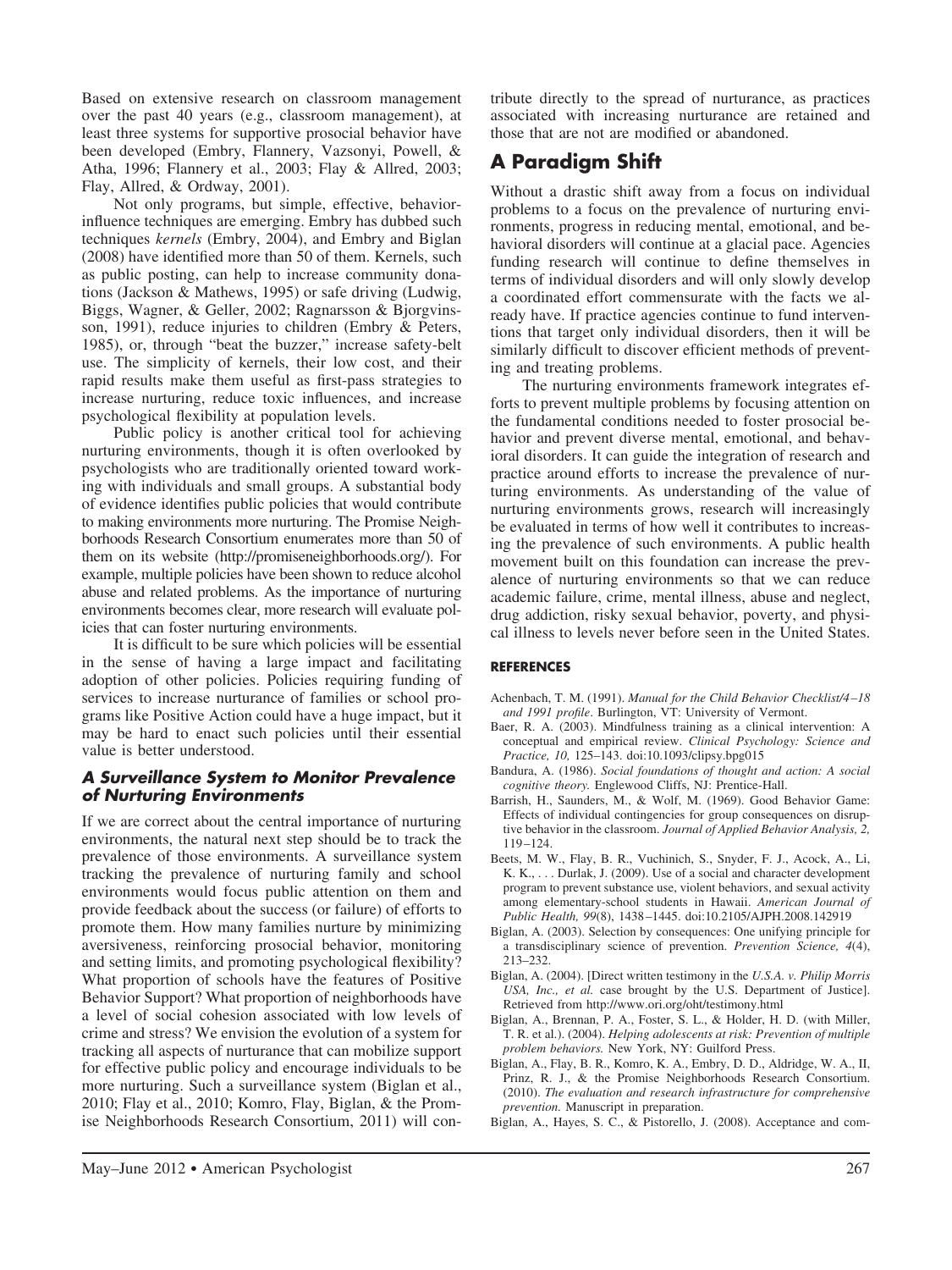Based on extensive research on classroom management over the past 40 years (e.g., classroom management), at least three systems for supportive prosocial behavior have been developed (Embry, Flannery, Vazsonyi, Powell, & Atha, 1996; Flannery et al., 2003; Flay & Allred, 2003; Flay, Allred, & Ordway, 2001).

Not only programs, but simple, effective, behaviorinfluence techniques are emerging. Embry has dubbed such techniques *kernels* (Embry, 2004), and Embry and Biglan (2008) have identified more than 50 of them. Kernels, such as public posting, can help to increase community donations (Jackson & Mathews, 1995) or safe driving (Ludwig, Biggs, Wagner, & Geller, 2002; Ragnarsson & Bjorgvinsson, 1991), reduce injuries to children (Embry & Peters, 1985), or, through "beat the buzzer," increase safety-belt use. The simplicity of kernels, their low cost, and their rapid results make them useful as first-pass strategies to increase nurturing, reduce toxic influences, and increase psychological flexibility at population levels.

Public policy is another critical tool for achieving nurturing environments, though it is often overlooked by psychologists who are traditionally oriented toward working with individuals and small groups. A substantial body of evidence identifies public policies that would contribute to making environments more nurturing. The Promise Neighborhoods Research Consortium enumerates more than 50 of them on its website (http://promiseneighborhoods.org/). For example, multiple policies have been shown to reduce alcohol abuse and related problems. As the importance of nurturing environments becomes clear, more research will evaluate policies that can foster nurturing environments.

It is difficult to be sure which policies will be essential in the sense of having a large impact and facilitating adoption of other policies. Policies requiring funding of services to increase nurturance of families or school programs like Positive Action could have a huge impact, but it may be hard to enact such policies until their essential value is better understood.

#### **A Surveillance System to Monitor Prevalence of Nurturing Environments**

If we are correct about the central importance of nurturing environments, the natural next step should be to track the prevalence of those environments. A surveillance system tracking the prevalence of nurturing family and school environments would focus public attention on them and provide feedback about the success (or failure) of efforts to promote them. How many families nurture by minimizing aversiveness, reinforcing prosocial behavior, monitoring and setting limits, and promoting psychological flexibility? What proportion of schools have the features of Positive Behavior Support? What proportion of neighborhoods have a level of social cohesion associated with low levels of crime and stress? We envision the evolution of a system for tracking all aspects of nurturance that can mobilize support for effective public policy and encourage individuals to be more nurturing. Such a surveillance system (Biglan et al., 2010; Flay et al., 2010; Komro, Flay, Biglan, & the Promise Neighborhoods Research Consortium, 2011) will contribute directly to the spread of nurturance, as practices associated with increasing nurturance are retained and those that are not are modified or abandoned.

# **A Paradigm Shift**

Without a drastic shift away from a focus on individual problems to a focus on the prevalence of nurturing environments, progress in reducing mental, emotional, and behavioral disorders will continue at a glacial pace. Agencies funding research will continue to define themselves in terms of individual disorders and will only slowly develop a coordinated effort commensurate with the facts we already have. If practice agencies continue to fund interventions that target only individual disorders, then it will be similarly difficult to discover efficient methods of preventing and treating problems.

The nurturing environments framework integrates efforts to prevent multiple problems by focusing attention on the fundamental conditions needed to foster prosocial behavior and prevent diverse mental, emotional, and behavioral disorders. It can guide the integration of research and practice around efforts to increase the prevalence of nurturing environments. As understanding of the value of nurturing environments grows, research will increasingly be evaluated in terms of how well it contributes to increasing the prevalence of such environments. A public health movement built on this foundation can increase the prevalence of nurturing environments so that we can reduce academic failure, crime, mental illness, abuse and neglect, drug addiction, risky sexual behavior, poverty, and physical illness to levels never before seen in the United States.

#### **REFERENCES**

- Achenbach, T. M. (1991). *Manual for the Child Behavior Checklist/4 –18 and 1991 profile*. Burlington, VT: University of Vermont.
- Baer, R. A. (2003). Mindfulness training as a clinical intervention: A conceptual and empirical review. *Clinical Psychology: Science and Practice, 10,* 125–143. doi:10.1093/clipsy.bpg015
- Bandura, A. (1986). *Social foundations of thought and action: A social cognitive theory.* Englewood Cliffs, NJ: Prentice-Hall.
- Barrish, H., Saunders, M., & Wolf, M. (1969). Good Behavior Game: Effects of individual contingencies for group consequences on disruptive behavior in the classroom. *Journal of Applied Behavior Analysis, 2,*  $119 - 124$
- Beets, M. W., Flay, B. R., Vuchinich, S., Snyder, F. J., Acock, A., Li, K. K., . . . Durlak, J. (2009). Use of a social and character development program to prevent substance use, violent behaviors, and sexual activity among elementary-school students in Hawaii. *American Journal of Public Health, 99*(8), 1438 –1445. doi:10.2105/AJPH.2008.142919
- Biglan, A. (2003). Selection by consequences: One unifying principle for a transdisciplinary science of prevention. *Prevention Science, 4*(4), 213–232.
- Biglan, A. (2004). [Direct written testimony in the *U.S.A. v. Philip Morris USA, Inc., et al.* case brought by the U.S. Department of Justice]. Retrieved from http://www.ori.org/oht/testimony.html
- Biglan, A., Brennan, P. A., Foster, S. L., & Holder, H. D. (with Miller, T. R. et al.). (2004). *Helping adolescents at risk: Prevention of multiple problem behaviors.* New York, NY: Guilford Press.
- Biglan, A., Flay, B. R., Komro, K. A., Embry, D. D., Aldridge, W. A., II, Prinz, R. J., & the Promise Neighborhoods Research Consortium. (2010). *The evaluation and research infrastructure for comprehensive prevention.* Manuscript in preparation.
- Biglan, A., Hayes, S. C., & Pistorello, J. (2008). Acceptance and com-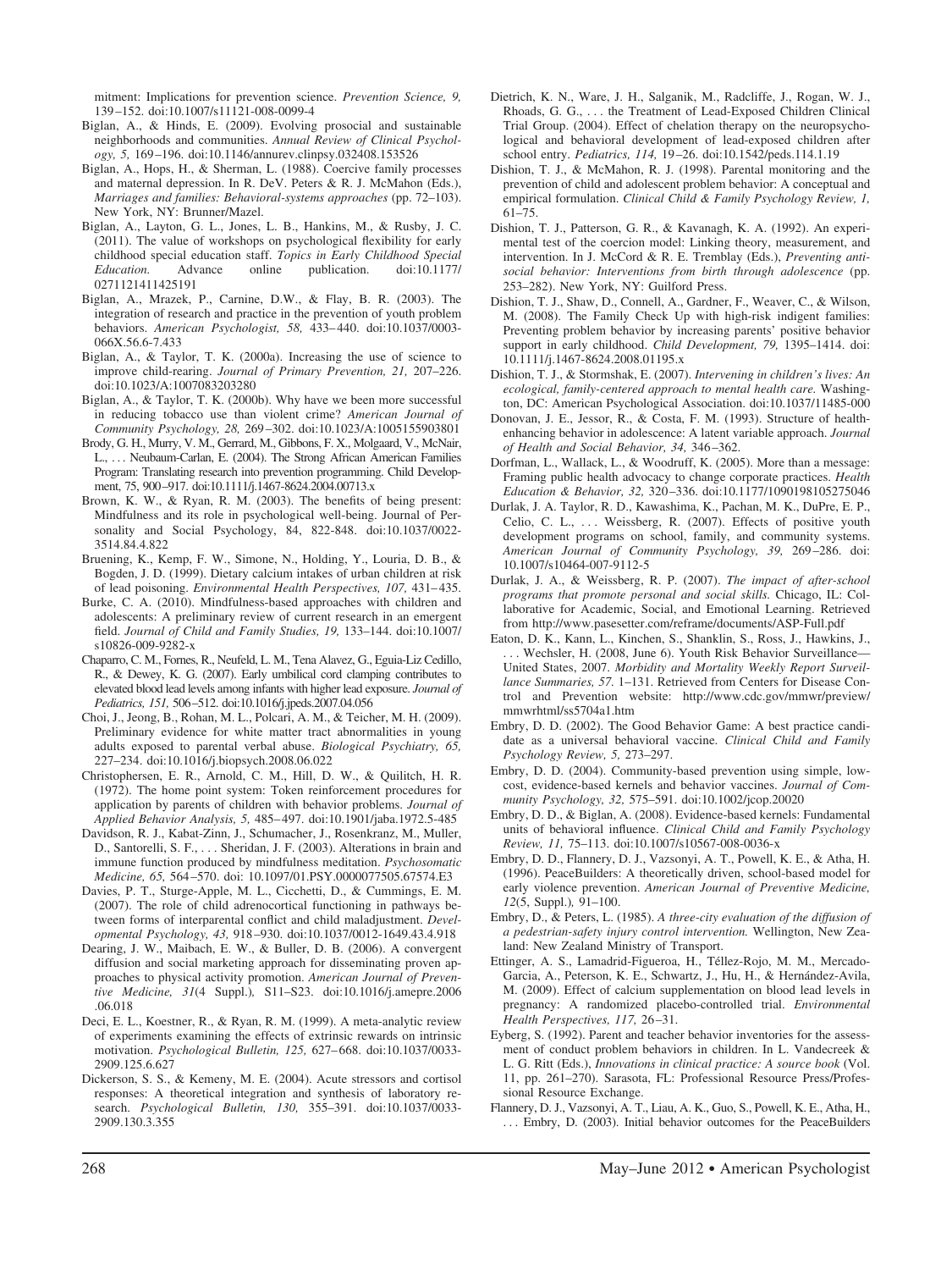mitment: Implications for prevention science. *Prevention Science, 9,* 139 –152. doi:10.1007/s11121-008-0099-4

- Biglan, A., & Hinds, E. (2009). Evolving prosocial and sustainable neighborhoods and communities. *Annual Review of Clinical Psychology, 5,* 169 –196. doi:10.1146/annurev.clinpsy.032408.153526
- Biglan, A., Hops, H., & Sherman, L. (1988). Coercive family processes and maternal depression. In R. DeV. Peters & R. J. McMahon (Eds.), *Marriages and families: Behavioral-systems approaches* (pp. 72–103). New York, NY: Brunner/Mazel.
- Biglan, A., Layton, G. L., Jones, L. B., Hankins, M., & Rusby, J. C. (2011). The value of workshops on psychological flexibility for early childhood special education staff. *Topics in Early Childhood Special Education.* Advance online publication. doi:10.1177/ 0271121411425191
- Biglan, A., Mrazek, P., Carnine, D.W., & Flay, B. R. (2003). The integration of research and practice in the prevention of youth problem behaviors. *American Psychologist, 58,* 433– 440. doi:10.1037/0003- 066X.56.6-7.433
- Biglan, A., & Taylor, T. K. (2000a). Increasing the use of science to improve child-rearing. *Journal of Primary Prevention, 21,* 207–226. doi:10.1023/A:1007083203280
- Biglan, A., & Taylor, T. K. (2000b). Why have we been more successful in reducing tobacco use than violent crime? *American Journal of Community Psychology, 28,* 269 –302. doi:10.1023/A:1005155903801
- Brody, G. H., Murry, V. M., Gerrard, M., Gibbons, F. X., Molgaard, V., McNair, L., ... Neubaum-Carlan, E. (2004). The Strong African American Families Program: Translating research into prevention programming. Child Development, 75, 900–917. doi:10.1111/j.1467-8624.2004.00713.x
- Brown, K. W., & Ryan, R. M. (2003). The benefits of being present: Mindfulness and its role in psychological well-being. Journal of Personality and Social Psychology, 84, 822-848. doi:10.1037/0022- 3514.84.4.822
- Bruening, K., Kemp, F. W., Simone, N., Holding, Y., Louria, D. B., & Bogden, J. D. (1999). Dietary calcium intakes of urban children at risk of lead poisoning. *Environmental Health Perspectives, 107,* 431– 435.
- Burke, C. A. (2010). Mindfulness-based approaches with children and adolescents: A preliminary review of current research in an emergent field. *Journal of Child and Family Studies, 19,* 133–144. doi:10.1007/ s10826-009-9282-x
- Chaparro, C. M., Fornes, R., Neufeld, L. M., Tena Alavez, G., Eguia-Liz Cedillo, R., & Dewey, K. G. (2007). Early umbilical cord clamping contributes to elevated blood lead levels among infants with higher lead exposure. *Journal of Pediatrics, 151,* 506–512. doi:10.1016/j.jpeds.2007.04.056
- Choi, J., Jeong, B., Rohan, M. L., Polcari, A. M., & Teicher, M. H. (2009). Preliminary evidence for white matter tract abnormalities in young adults exposed to parental verbal abuse. *Biological Psychiatry, 65,* 227–234. doi:10.1016/j.biopsych.2008.06.022
- Christophersen, E. R., Arnold, C. M., Hill, D. W., & Quilitch, H. R. (1972). The home point system: Token reinforcement procedures for application by parents of children with behavior problems. *Journal of Applied Behavior Analysis, 5,* 485– 497. doi:10.1901/jaba.1972.5-485
- Davidson, R. J., Kabat-Zinn, J., Schumacher, J., Rosenkranz, M., Muller, D., Santorelli, S. F., . . . Sheridan, J. F. (2003). Alterations in brain and immune function produced by mindfulness meditation. *Psychosomatic Medicine, 65,* 564 –570. doi: 10.1097/01.PSY.0000077505.67574.E3
- Davies, P. T., Sturge-Apple, M. L., Cicchetti, D., & Cummings, E. M. (2007). The role of child adrenocortical functioning in pathways between forms of interparental conflict and child maladjustment. *Developmental Psychology, 43,* 918 –930. doi:10.1037/0012-1649.43.4.918
- Dearing, J. W., Maibach, E. W., & Buller, D. B. (2006). A convergent diffusion and social marketing approach for disseminating proven approaches to physical activity promotion. *American Journal of Preventive Medicine, 31*(4 Suppl.)*,* S11–S23. doi:10.1016/j.amepre.2006 .06.018
- Deci, E. L., Koestner, R., & Ryan, R. M. (1999). A meta-analytic review of experiments examining the effects of extrinsic rewards on intrinsic motivation. *Psychological Bulletin, 125,* 627– 668. doi:10.1037/0033- 2909.125.6.627
- Dickerson, S. S., & Kemeny, M. E. (2004). Acute stressors and cortisol responses: A theoretical integration and synthesis of laboratory research. *Psychological Bulletin, 130,* 355–391. doi:10.1037/0033- 2909.130.3.355
- Dietrich, K. N., Ware, J. H., Salganik, M., Radcliffe, J., Rogan, W. J., Rhoads, G. G., . . . the Treatment of Lead-Exposed Children Clinical Trial Group. (2004). Effect of chelation therapy on the neuropsychological and behavioral development of lead-exposed children after school entry. *Pediatrics, 114,* 19 –26. doi:10.1542/peds.114.1.19
- Dishion, T. J., & McMahon, R. J. (1998). Parental monitoring and the prevention of child and adolescent problem behavior: A conceptual and empirical formulation. *Clinical Child & Family Psychology Review, 1,* 61–75.
- Dishion, T. J., Patterson, G. R., & Kavanagh, K. A. (1992). An experimental test of the coercion model: Linking theory, measurement, and intervention. In J. McCord & R. E. Tremblay (Eds.), *Preventing antisocial behavior: Interventions from birth through adolescence* (pp. 253–282). New York, NY: Guilford Press.
- Dishion, T. J., Shaw, D., Connell, A., Gardner, F., Weaver, C., & Wilson, M. (2008). The Family Check Up with high-risk indigent families: Preventing problem behavior by increasing parents' positive behavior support in early childhood. *Child Development, 79,* 1395–1414. doi: 10.1111/j.1467-8624.2008.01195.x
- Dishion, T. J., & Stormshak, E. (2007). *Intervening in children's lives: An ecological, family-centered approach to mental health care.* Washington, DC: American Psychological Association. doi:10.1037/11485-000
- Donovan, J. E., Jessor, R., & Costa, F. M. (1993). Structure of healthenhancing behavior in adolescence: A latent variable approach. *Journal of Health and Social Behavior, 34,* 346 –362.
- Dorfman, L., Wallack, L., & Woodruff, K. (2005). More than a message: Framing public health advocacy to change corporate practices. *Health Education & Behavior, 32,* 320 –336. doi:10.1177/1090198105275046
- Durlak, J. A. Taylor, R. D., Kawashima, K., Pachan, M. K., DuPre, E. P., Celio, C. L., ... Weissberg, R. (2007). Effects of positive youth development programs on school, family, and community systems. *American Journal of Community Psychology, 39,* 269 –286. doi: 10.1007/s10464-007-9112-5
- Durlak, J. A., & Weissberg, R. P. (2007). *The impact of after-school programs that promote personal and social skills.* Chicago, IL: Collaborative for Academic, Social, and Emotional Learning. Retrieved from http://www.pasesetter.com/reframe/documents/ASP-Full.pdf
- Eaton, D. K., Kann, L., Kinchen, S., Shanklin, S., Ross, J., Hawkins, J., . . . Wechsler, H. (2008, June 6). Youth Risk Behavior Surveillance— United States, 2007. *Morbidity and Mortality Weekly Report Surveillance Summaries, 57.* 1–131. Retrieved from Centers for Disease Control and Prevention website: http://www.cdc.gov/mmwr/preview/ mmwrhtml/ss5704a1.htm
- Embry, D. D. (2002). The Good Behavior Game: A best practice candidate as a universal behavioral vaccine. *Clinical Child and Family Psychology Review, 5,* 273–297.
- Embry, D. D. (2004). Community-based prevention using simple, lowcost, evidence-based kernels and behavior vaccines. *Journal of Community Psychology, 32,* 575–591. doi:10.1002/jcop.20020
- Embry, D. D., & Biglan, A. (2008). Evidence-based kernels: Fundamental units of behavioral influence. *Clinical Child and Family Psychology Review, 11,* 75–113. doi:10.1007/s10567-008-0036-x
- Embry, D. D., Flannery, D. J., Vazsonyi, A. T., Powell, K. E., & Atha, H. (1996). PeaceBuilders: A theoretically driven, school-based model for early violence prevention. *American Journal of Preventive Medicine, 12*(5, Suppl.)*,* 91–100.
- Embry, D., & Peters, L. (1985). *A three-city evaluation of the diffusion of a pedestrian-safety injury control intervention.* Wellington, New Zealand: New Zealand Ministry of Transport.
- Ettinger, A. S., Lamadrid-Figueroa, H., Téllez-Rojo, M. M., Mercado-Garcia, A., Peterson, K. E., Schwartz, J., Hu, H., & Hernández-Avila, M. (2009). Effect of calcium supplementation on blood lead levels in pregnancy: A randomized placebo-controlled trial. *Environmental Health Perspectives, 117,* 26 –31.
- Eyberg, S. (1992). Parent and teacher behavior inventories for the assessment of conduct problem behaviors in children. In L. Vandecreek & L. G. Ritt (Eds.), *Innovations in clinical practice: A source book* (Vol. 11, pp. 261–270). Sarasota, FL: Professional Resource Press/Professional Resource Exchange.
- Flannery, D. J., Vazsonyi, A. T., Liau, A. K., Guo, S., Powell, K. E., Atha, H., . . . Embry, D. (2003). Initial behavior outcomes for the PeaceBuilders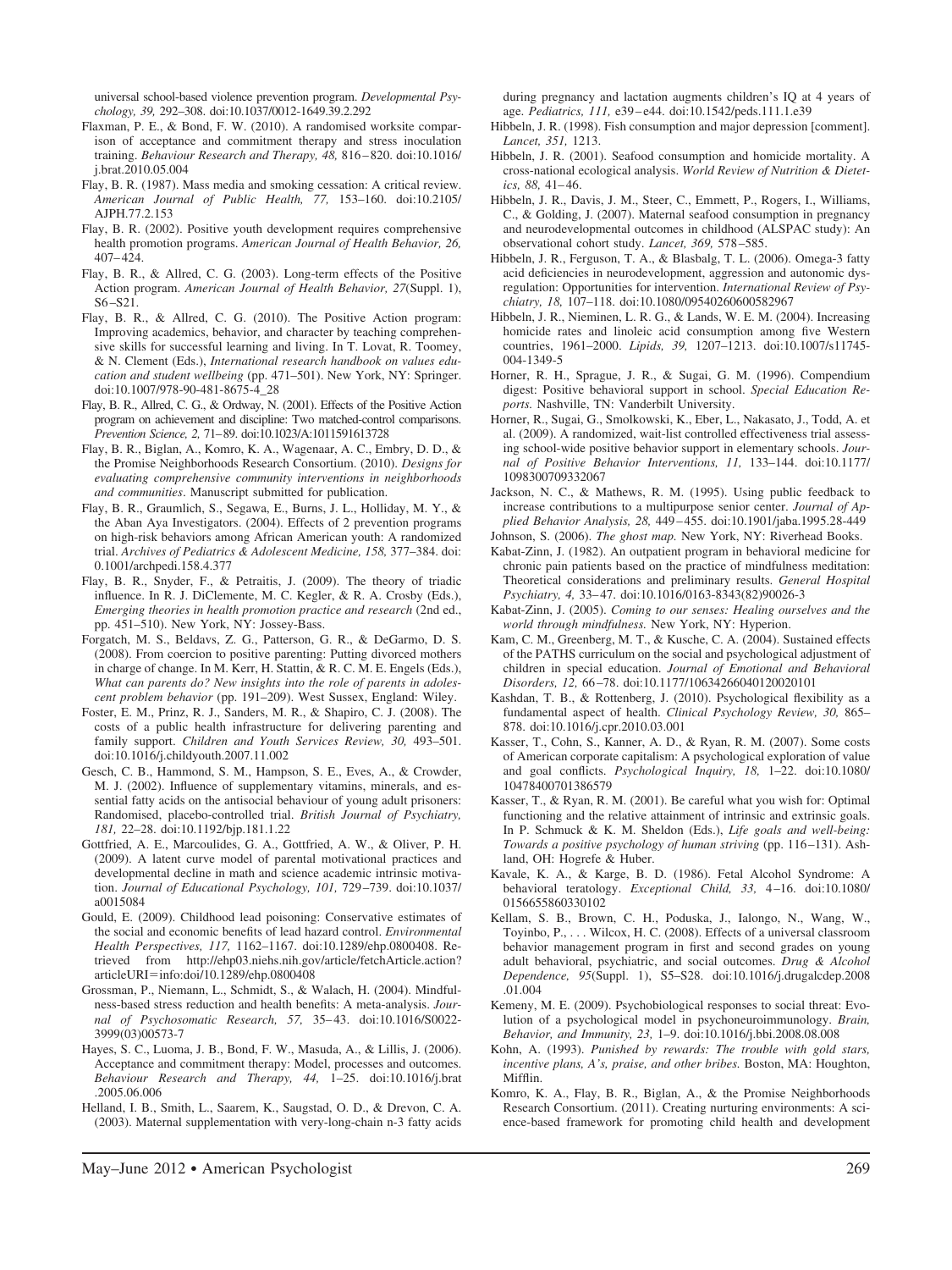universal school-based violence prevention program. *Developmental Psychology, 39,* 292–308. doi:10.1037/0012-1649.39.2.292

- Flaxman, P. E., & Bond, F. W. (2010). A randomised worksite comparison of acceptance and commitment therapy and stress inoculation training. *Behaviour Research and Therapy, 48,* 816 – 820. doi:10.1016/ j.brat.2010.05.004
- Flay, B. R. (1987). Mass media and smoking cessation: A critical review. *American Journal of Public Health, 77,* 153–160. doi:10.2105/ AJPH.77.2.153
- Flay, B. R. (2002). Positive youth development requires comprehensive health promotion programs. *American Journal of Health Behavior, 26,* 407– 424.
- Flay, B. R., & Allred, C. G. (2003). Long-term effects of the Positive Action program. *American Journal of Health Behavior, 27*(Suppl. 1), S6 –S21.
- Flay, B. R., & Allred, C. G. (2010). The Positive Action program: Improving academics, behavior, and character by teaching comprehensive skills for successful learning and living. In T. Lovat, R. Toomey, & N. Clement (Eds.), *International research handbook on values education and student wellbeing* (pp. 471–501). New York, NY: Springer. doi:10.1007/978-90-481-8675-4\_28
- Flay, B. R., Allred, C. G., & Ordway, N. (2001). Effects of the Positive Action program on achievement and discipline: Two matched-control comparisons. *Prevention Science, 2,* 71–89. doi:10.1023/A:1011591613728
- Flay, B. R., Biglan, A., Komro, K. A., Wagenaar, A. C., Embry, D. D., & the Promise Neighborhoods Research Consortium. (2010). *Designs for evaluating comprehensive community interventions in neighborhoods and communities*. Manuscript submitted for publication.
- Flay, B. R., Graumlich, S., Segawa, E., Burns, J. L., Holliday, M. Y., & the Aban Aya Investigators. (2004). Effects of 2 prevention programs on high-risk behaviors among African American youth: A randomized trial. *Archives of Pediatrics & Adolescent Medicine, 158,* 377–384. doi: 0.1001/archpedi.158.4.377
- Flay, B. R., Snyder, F., & Petraitis, J. (2009). The theory of triadic influence. In R. J. DiClemente, M. C. Kegler, & R. A. Crosby (Eds.), *Emerging theories in health promotion practice and research* (2nd ed., pp. 451–510). New York, NY: Jossey-Bass.
- Forgatch, M. S., Beldavs, Z. G., Patterson, G. R., & DeGarmo, D. S. (2008). From coercion to positive parenting: Putting divorced mothers in charge of change. In M. Kerr, H. Stattin, & R. C. M. E. Engels (Eds.), *What can parents do? New insights into the role of parents in adolescent problem behavior* (pp. 191–209). West Sussex, England: Wiley.
- Foster, E. M., Prinz, R. J., Sanders, M. R., & Shapiro, C. J. (2008). The costs of a public health infrastructure for delivering parenting and family support. *Children and Youth Services Review, 30,* 493–501. doi:10.1016/j.childyouth.2007.11.002
- Gesch, C. B., Hammond, S. M., Hampson, S. E., Eves, A., & Crowder, M. J. (2002). Influence of supplementary vitamins, minerals, and essential fatty acids on the antisocial behaviour of young adult prisoners: Randomised, placebo-controlled trial. *British Journal of Psychiatry, 181,* 22–28. doi:10.1192/bjp.181.1.22
- Gottfried, A. E., Marcoulides, G. A., Gottfried, A. W., & Oliver, P. H. (2009). A latent curve model of parental motivational practices and developmental decline in math and science academic intrinsic motivation. *Journal of Educational Psychology, 101,* 729 –739. doi:10.1037/ a0015084
- Gould, E. (2009). Childhood lead poisoning: Conservative estimates of the social and economic benefits of lead hazard control. *Environmental Health Perspectives, 117,* 1162–1167. doi:10.1289/ehp.0800408. Retrieved from http://ehp03.niehs.nih.gov/article/fetchArticle.action? articleURI=info:doi/10.1289/ehp.0800408
- Grossman, P., Niemann, L., Schmidt, S., & Walach, H. (2004). Mindfulness-based stress reduction and health benefits: A meta-analysis. *Journal of Psychosomatic Research, 57,* 35– 43. doi:10.1016/S0022- 3999(03)00573-7
- Hayes, S. C., Luoma, J. B., Bond, F. W., Masuda, A., & Lillis, J. (2006). Acceptance and commitment therapy: Model, processes and outcomes. *Behaviour Research and Therapy, 44,* 1–25. doi:10.1016/j.brat .2005.06.006
- Helland, I. B., Smith, L., Saarem, K., Saugstad, O. D., & Drevon, C. A. (2003). Maternal supplementation with very-long-chain n-3 fatty acids

during pregnancy and lactation augments children's IQ at 4 years of age. *Pediatrics, 111,* e39 – e44. doi:10.1542/peds.111.1.e39

- Hibbeln, J. R. (1998). Fish consumption and major depression [comment]. *Lancet, 351,* 1213.
- Hibbeln, J. R. (2001). Seafood consumption and homicide mortality. A cross-national ecological analysis. *World Review of Nutrition & Dietetics, 88,* 41– 46.
- Hibbeln, J. R., Davis, J. M., Steer, C., Emmett, P., Rogers, I., Williams, C., & Golding, J. (2007). Maternal seafood consumption in pregnancy and neurodevelopmental outcomes in childhood (ALSPAC study): An observational cohort study. *Lancet, 369,* 578 –585.
- Hibbeln, J. R., Ferguson, T. A., & Blasbalg, T. L. (2006). Omega-3 fatty acid deficiencies in neurodevelopment, aggression and autonomic dysregulation: Opportunities for intervention. *International Review of Psychiatry, 18,* 107–118. doi:10.1080/09540260600582967
- Hibbeln, J. R., Nieminen, L. R. G., & Lands, W. E. M. (2004). Increasing homicide rates and linoleic acid consumption among five Western countries, 1961–2000. *Lipids, 39,* 1207–1213. doi:10.1007/s11745- 004-1349-5
- Horner, R. H., Sprague, J. R., & Sugai, G. M. (1996). Compendium digest: Positive behavioral support in school. *Special Education Reports.* Nashville, TN: Vanderbilt University.
- Horner, R., Sugai, G., Smolkowski, K., Eber, L., Nakasato, J., Todd, A. et al. (2009). A randomized, wait-list controlled effectiveness trial assessing school-wide positive behavior support in elementary schools. *Journal of Positive Behavior Interventions, 11,* 133–144. doi:10.1177/ 1098300709332067
- Jackson, N. C., & Mathews, R. M. (1995). Using public feedback to increase contributions to a multipurpose senior center. *Journal of Applied Behavior Analysis, 28,* 449 – 455. doi:10.1901/jaba.1995.28-449
- Johnson, S. (2006). *The ghost map.* New York, NY: Riverhead Books.
- Kabat-Zinn, J. (1982). An outpatient program in behavioral medicine for chronic pain patients based on the practice of mindfulness meditation: Theoretical considerations and preliminary results. *General Hospital Psychiatry, 4,* 33– 47. doi:10.1016/0163-8343(82)90026-3
- Kabat-Zinn, J. (2005). *Coming to our senses: Healing ourselves and the world through mindfulness.* New York, NY: Hyperion.
- Kam, C. M., Greenberg, M. T., & Kusche, C. A. (2004). Sustained effects of the PATHS curriculum on the social and psychological adjustment of children in special education. *Journal of Emotional and Behavioral Disorders, 12,* 66 –78. doi:10.1177/10634266040120020101
- Kashdan, T. B., & Rottenberg, J. (2010). Psychological flexibility as a fundamental aspect of health. *Clinical Psychology Review, 30,* 865– 878. doi:10.1016/j.cpr.2010.03.001
- Kasser, T., Cohn, S., Kanner, A. D., & Ryan, R. M. (2007). Some costs of American corporate capitalism: A psychological exploration of value and goal conflicts. *Psychological Inquiry, 18,* 1–22. doi:10.1080/ 10478400701386579
- Kasser, T., & Ryan, R. M. (2001). Be careful what you wish for: Optimal functioning and the relative attainment of intrinsic and extrinsic goals. In P. Schmuck & K. M. Sheldon (Eds.), *Life goals and well-being: Towards a positive psychology of human striving* (pp. 116 –131). Ashland, OH: Hogrefe & Huber.
- Kavale, K. A., & Karge, B. D. (1986). Fetal Alcohol Syndrome: A behavioral teratology. *Exceptional Child, 33,* 4 –16. doi:10.1080/ 0156655860330102
- Kellam, S. B., Brown, C. H., Poduska, J., Ialongo, N., Wang, W., Toyinbo, P., . . . Wilcox, H. C. (2008). Effects of a universal classroom behavior management program in first and second grades on young adult behavioral, psychiatric, and social outcomes. *Drug & Alcohol Dependence, 95*(Suppl. 1), S5–S28. doi:10.1016/j.drugalcdep.2008 .01.004
- Kemeny, M. E. (2009). Psychobiological responses to social threat: Evolution of a psychological model in psychoneuroimmunology. *Brain, Behavior, and Immunity, 23,* 1–9. doi:10.1016/j.bbi.2008.08.008
- Kohn, A. (1993). *Punished by rewards: The trouble with gold stars, incentive plans, A's, praise, and other bribes.* Boston, MA: Houghton, Mifflin.
- Komro, K. A., Flay, B. R., Biglan, A., & the Promise Neighborhoods Research Consortium. (2011). Creating nurturing environments: A science-based framework for promoting child health and development

May–June 2012 ● American Psychologist 269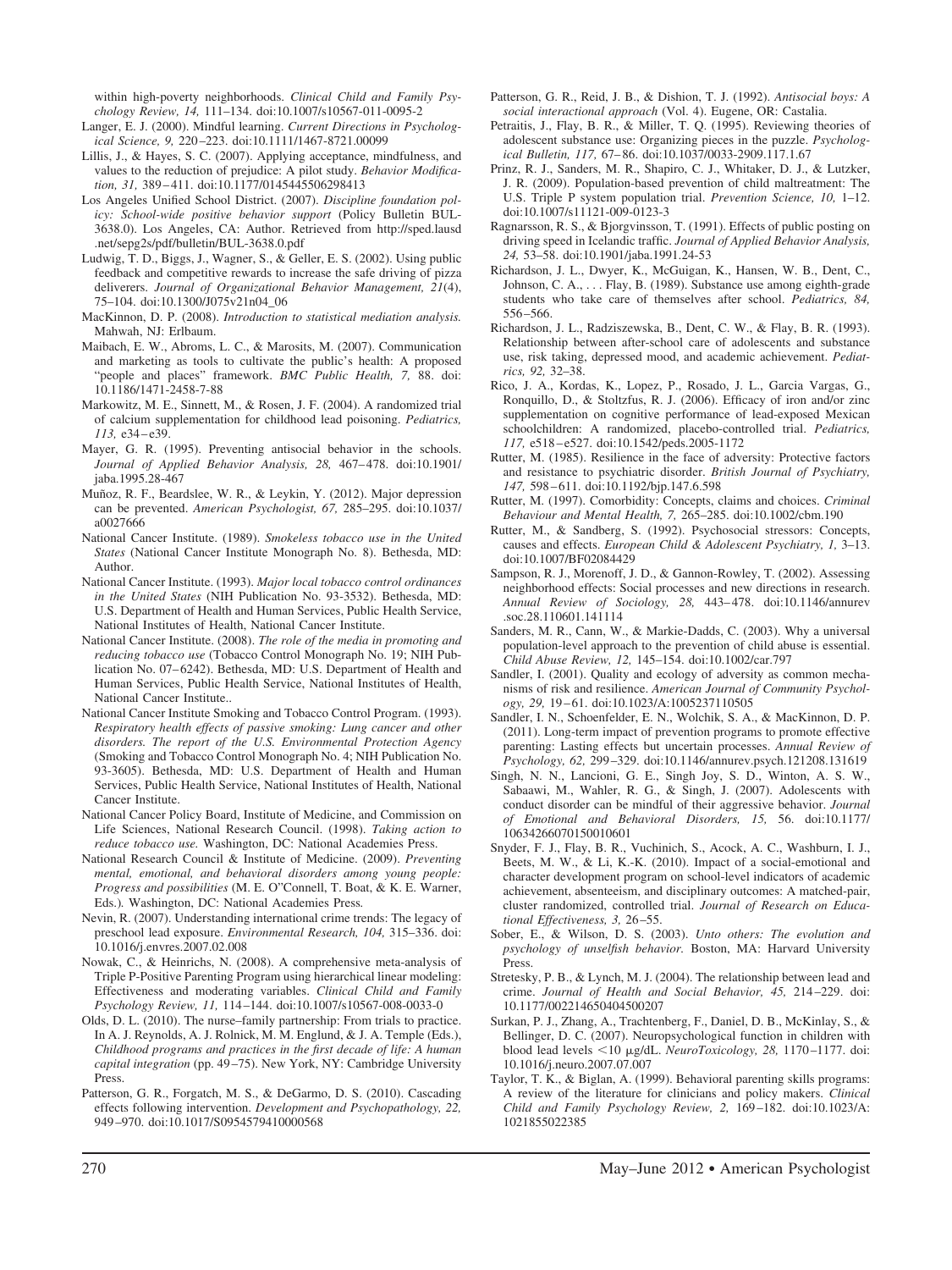within high-poverty neighborhoods. *Clinical Child and Family Psychology Review, 14,* 111–134. doi:10.1007/s10567-011-0095-2

- Langer, E. J. (2000). Mindful learning. *Current Directions in Psychological Science, 9,* 220 –223. doi:10.1111/1467-8721.00099
- Lillis, J., & Hayes, S. C. (2007). Applying acceptance, mindfulness, and values to the reduction of prejudice: A pilot study. *Behavior Modification, 31,* 389 – 411. doi:10.1177/0145445506298413
- Los Angeles Unified School District. (2007). *Discipline foundation policy: School-wide positive behavior support* (Policy Bulletin BUL-3638.0). Los Angeles, CA: Author. Retrieved from http://sped.lausd .net/sepg2s/pdf/bulletin/BUL-3638.0.pdf
- Ludwig, T. D., Biggs, J., Wagner, S., & Geller, E. S. (2002). Using public feedback and competitive rewards to increase the safe driving of pizza deliverers. *Journal of Organizational Behavior Management, 21*(4), 75–104. doi:10.1300/J075v21n04\_06
- MacKinnon, D. P. (2008). *Introduction to statistical mediation analysis.* Mahwah, NJ: Erlbaum.
- Maibach, E. W., Abroms, L. C., & Marosits, M. (2007). Communication and marketing as tools to cultivate the public's health: A proposed "people and places" framework. *BMC Public Health, 7,* 88. doi: 10.1186/1471-2458-7-88
- Markowitz, M. E., Sinnett, M., & Rosen, J. F. (2004). A randomized trial of calcium supplementation for childhood lead poisoning. *Pediatrics, 113,* e34 – e39.
- Mayer, G. R. (1995). Preventing antisocial behavior in the schools. *Journal of Applied Behavior Analysis, 28,* 467– 478. doi:10.1901/ jaba.1995.28-467
- Muñoz, R. F., Beardslee, W. R., & Leykin, Y. (2012). Major depression can be prevented. *American Psychologist, 67,* 285–295. doi:10.1037/ a0027666
- National Cancer Institute. (1989). *Smokeless tobacco use in the United States* (National Cancer Institute Monograph No. 8). Bethesda, MD: Author.
- National Cancer Institute. (1993). *Major local tobacco control ordinances in the United States* (NIH Publication No. 93-3532). Bethesda, MD: U.S. Department of Health and Human Services, Public Health Service, National Institutes of Health, National Cancer Institute.
- National Cancer Institute. (2008). *The role of the media in promoting and reducing tobacco use* (Tobacco Control Monograph No. 19; NIH Publication No. 07– 6242). Bethesda, MD: U.S. Department of Health and Human Services, Public Health Service, National Institutes of Health, National Cancer Institute..
- National Cancer Institute Smoking and Tobacco Control Program. (1993). *Respiratory health effects of passive smoking: Lung cancer and other disorders. The report of the U.S. Environmental Protection Agency* (Smoking and Tobacco Control Monograph No. 4; NIH Publication No. 93-3605). Bethesda, MD: U.S. Department of Health and Human Services, Public Health Service, National Institutes of Health, National Cancer Institute.
- National Cancer Policy Board, Institute of Medicine, and Commission on Life Sciences, National Research Council. (1998). *Taking action to reduce tobacco use.* Washington, DC: National Academies Press.
- National Research Council & Institute of Medicine. (2009). *Preventing mental, emotional, and behavioral disorders among young people: Progress and possibilities* (M. E. O"Connell, T. Boat, & K. E. Warner, Eds.)*.* Washington, DC: National Academies Press*.*
- Nevin, R. (2007). Understanding international crime trends: The legacy of preschool lead exposure. *Environmental Research, 104,* 315–336. doi: 10.1016/j.envres.2007.02.008
- Nowak, C., & Heinrichs, N. (2008). A comprehensive meta-analysis of Triple P-Positive Parenting Program using hierarchical linear modeling: Effectiveness and moderating variables. *Clinical Child and Family Psychology Review, 11,* 114 –144. doi:10.1007/s10567-008-0033-0
- Olds, D. L. (2010). The nurse–family partnership: From trials to practice. In A. J. Reynolds, A. J. Rolnick, M. M. Englund, & J. A. Temple (Eds.), *Childhood programs and practices in the first decade of life: A human capital integration* (pp. 49 –75). New York, NY: Cambridge University Press.
- Patterson, G. R., Forgatch, M. S., & DeGarmo, D. S. (2010). Cascading effects following intervention. *Development and Psychopathology, 22,* 949 –970. doi:10.1017/S0954579410000568
- Patterson, G. R., Reid, J. B., & Dishion, T. J. (1992). *Antisocial boys: A social interactional approach* (Vol. 4). Eugene, OR: Castalia.
- Petraitis, J., Flay, B. R., & Miller, T. Q. (1995). Reviewing theories of adolescent substance use: Organizing pieces in the puzzle. *Psychological Bulletin, 117,* 67– 86. doi:10.1037/0033-2909.117.1.67
- Prinz, R. J., Sanders, M. R., Shapiro, C. J., Whitaker, D. J., & Lutzker, J. R. (2009). Population-based prevention of child maltreatment: The U.S. Triple P system population trial. *Prevention Science, 10,* 1–12. doi:10.1007/s11121-009-0123-3
- Ragnarsson, R. S., & Bjorgvinsson, T. (1991). Effects of public posting on driving speed in Icelandic traffic. *Journal of Applied Behavior Analysis, 24,* 53–58. doi:10.1901/jaba.1991.24-53
- Richardson, J. L., Dwyer, K., McGuigan, K., Hansen, W. B., Dent, C., Johnson, C. A., . . . Flay, B. (1989). Substance use among eighth-grade students who take care of themselves after school. *Pediatrics, 84,* 556 –566.
- Richardson, J. L., Radziszewska, B., Dent, C. W., & Flay, B. R. (1993). Relationship between after-school care of adolescents and substance use, risk taking, depressed mood, and academic achievement. *Pediatrics, 92,* 32–38.
- Rico, J. A., Kordas, K., Lopez, P., Rosado, J. L., Garcia Vargas, G., Ronquillo, D., & Stoltzfus, R. J. (2006). Efficacy of iron and/or zinc supplementation on cognitive performance of lead-exposed Mexican schoolchildren: A randomized, placebo-controlled trial. *Pediatrics, 117,* e518 – e527. doi:10.1542/peds.2005-1172
- Rutter, M. (1985). Resilience in the face of adversity: Protective factors and resistance to psychiatric disorder. *British Journal of Psychiatry, 147,* 598 – 611. doi:10.1192/bjp.147.6.598
- Rutter, M. (1997). Comorbidity: Concepts, claims and choices. *Criminal Behaviour and Mental Health, 7,* 265–285. doi:10.1002/cbm.190
- Rutter, M., & Sandberg, S. (1992). Psychosocial stressors: Concepts, causes and effects. *European Child & Adolescent Psychiatry, 1,* 3–13. doi:10.1007/BF02084429
- Sampson, R. J., Morenoff, J. D., & Gannon-Rowley, T. (2002). Assessing neighborhood effects: Social processes and new directions in research. *Annual Review of Sociology, 28,* 443– 478. doi:10.1146/annurev .soc.28.110601.141114
- Sanders, M. R., Cann, W., & Markie-Dadds, C. (2003). Why a universal population-level approach to the prevention of child abuse is essential. *Child Abuse Review, 12,* 145–154. doi:10.1002/car.797
- Sandler, I. (2001). Quality and ecology of adversity as common mechanisms of risk and resilience. *American Journal of Community Psychology, 29,* 19 – 61. doi:10.1023/A:1005237110505
- Sandler, I. N., Schoenfelder, E. N., Wolchik, S. A., & MacKinnon, D. P. (2011). Long-term impact of prevention programs to promote effective parenting: Lasting effects but uncertain processes. *Annual Review of Psychology, 62,* 299 –329. doi:10.1146/annurev.psych.121208.131619
- Singh, N. N., Lancioni, G. E., Singh Joy, S. D., Winton, A. S. W., Sabaawi, M., Wahler, R. G., & Singh, J. (2007). Adolescents with conduct disorder can be mindful of their aggressive behavior. *Journal of Emotional and Behavioral Disorders, 15,* 56. doi:10.1177/ 10634266070150010601
- Snyder, F. J., Flay, B. R., Vuchinich, S., Acock, A. C., Washburn, I. J., Beets, M. W., & Li, K.-K. (2010). Impact of a social-emotional and character development program on school-level indicators of academic achievement, absenteeism, and disciplinary outcomes: A matched-pair, cluster randomized, controlled trial. *Journal of Research on Educational Effectiveness, 3,* 26 –55.
- Sober, E., & Wilson, D. S. (2003). *Unto others: The evolution and psychology of unselfish behavior.* Boston, MA: Harvard University Press.
- Stretesky, P. B., & Lynch, M. J. (2004). The relationship between lead and crime. *Journal of Health and Social Behavior, 45,* 214 –229. doi: 10.1177/002214650404500207
- Surkan, P. J., Zhang, A., Trachtenberg, F., Daniel, D. B., McKinlay, S., & Bellinger, D. C. (2007). Neuropsychological function in children with blood lead levels <10  $\mu$ g/dL. *NeuroToxicology, 28,* 1170-1177. doi: 10.1016/j.neuro.2007.07.007
- Taylor, T. K., & Biglan, A. (1999). Behavioral parenting skills programs: A review of the literature for clinicians and policy makers. *Clinical Child and Family Psychology Review, 2,* 169 –182. doi:10.1023/A: 1021855022385